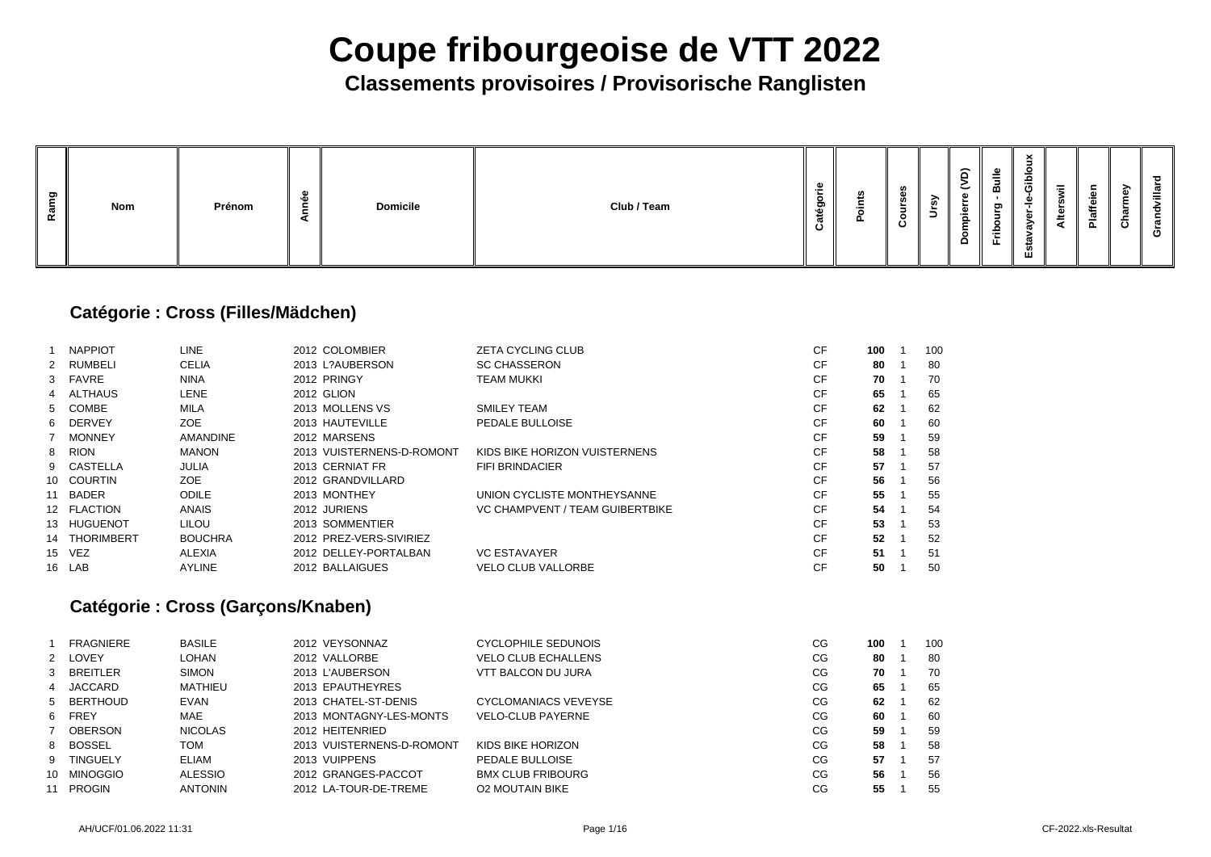## **Classements provisoires / Provisorische Ranglisten**

| ರಾ<br><b>Nom</b><br>w<br>$\alpha$ | Prénom | - | <b>Domicile</b> | Club / Team | m<br>$\mathbf{m}$ | M<br>ட | w<br>≒ | <b>U)</b> | $\widehat{\mathsf{d}}$<br>こ<br>ω<br>►<br>$\mathbf{\omega}$<br>. .<br>௨<br>$\circ$<br><u>ы</u> | $\equiv$<br>മ<br>ರಾ<br>►.<br>o<br>≞<br><u>_</u><br><u>н.</u> | $\times$<br>$\overline{\phantom{a}}$<br>음<br>O<br>-<br>↗<br>د د.<br>ഗ<br>ш | 震<br>章<br>◀ | . .<br>∾<br>w<br>$\frac{a}{b}$ | ∽<br>╼<br>ပ | ਠ<br>ത<br>ത<br>ပ |
|-----------------------------------|--------|---|-----------------|-------------|-------------------|--------|--------|-----------|-----------------------------------------------------------------------------------------------|--------------------------------------------------------------|----------------------------------------------------------------------------|-------------|--------------------------------|-------------|------------------|
|-----------------------------------|--------|---|-----------------|-------------|-------------------|--------|--------|-----------|-----------------------------------------------------------------------------------------------|--------------------------------------------------------------|----------------------------------------------------------------------------|-------------|--------------------------------|-------------|------------------|

### **Catégorie : Cross (Filles/Mädchen)**

|    | <b>NAPPIOT</b> | <b>LINE</b>     | 2012 COLOMBIER            | <b>ZETA CYCLING CLUB</b>        | <b>CF</b> | 100 | 10 <sub>C</sub> |
|----|----------------|-----------------|---------------------------|---------------------------------|-----------|-----|-----------------|
|    | 2 RUMBELI      | <b>CELIA</b>    | 2013 L?AUBERSON           | <b>SC CHASSERON</b>             | <b>CF</b> | 80  | 80              |
|    | 3 FAVRE        | <b>NINA</b>     | 2012 PRINGY               | <b>TEAM MUKKI</b>               | <b>CF</b> | 70  | 70              |
|    | 4 ALTHAUS      | <b>LENE</b>     | 2012 GLION                |                                 | <b>CF</b> | 65  | 65              |
|    | 5 COMBE        | MILA            | 2013 MOLLENS VS           | <b>SMILEY TEAM</b>              | <b>CF</b> | 62  | 62              |
|    | 6 DERVEY       | <b>ZOE</b>      | 2013 HAUTEVILLE           | PEDALE BULLOISE                 | <b>CF</b> | 60  | 60              |
|    | <b>MONNEY</b>  | <b>AMANDINE</b> | 2012 MARSENS              |                                 | <b>CF</b> | 59  | 59              |
|    | 8 RION         | <b>MANON</b>    | 2013 VUISTERNENS-D-ROMONT | KIDS BIKE HORIZON VUISTERNENS   | <b>CF</b> | 58  | 58              |
|    | 9 CASTELLA     | <b>JULIA</b>    | 2013 CERNIAT FR           | <b>FIFI BRINDACIER</b>          | <b>CF</b> | 57  | 57              |
|    | 10 COURTIN     | ZOE             | 2012 GRANDVILLARD         |                                 | <b>CF</b> | 56  | 56              |
| 11 | BADER          | <b>ODILE</b>    | 2013 MONTHEY              | UNION CYCLISTE MONTHEYSANNE     | <b>CF</b> | 55  | 55              |
|    | 12 FLACTION    | <b>ANAIS</b>    | 2012 JURIENS              | VC CHAMPVENT / TEAM GUIBERTBIKE | <b>CF</b> | 54  | 54              |
|    | 13 HUGUENOT    | <b>LILOU</b>    | 2013 SOMMENTIER           |                                 | <b>CF</b> | 53  | 53              |
|    | 14 THORIMBERT  | <b>BOUCHRA</b>  | 2012 PREZ-VERS-SIVIRIEZ   |                                 | <b>CF</b> | 52  | 52              |
|    | 15 VEZ         | <b>ALEXIA</b>   | 2012 DELLEY-PORTALBAN     | <b>VC ESTAVAYER</b>             | <b>CF</b> | 51  | 51              |
|    | 16 LAB         | <b>AYLINE</b>   | 2012 BALLAIGUES           | <b>VELO CLUB VALLORBE</b>       | <b>CF</b> | 50  | 50              |
|    |                |                 |                           |                                 |           |     |                 |

### **Catégorie : Cross (Garçons/Knaben)**

|     | <b>FRAGNIERE</b> | <b>BASILE</b>  | 2012 VEYSONNAZ            | <b>CYCLOPHILE SEDUNOIS</b>  | CG | 100 | 10 <sub>C</sub> |
|-----|------------------|----------------|---------------------------|-----------------------------|----|-----|-----------------|
|     | 2 LOVEY          | <b>LOHAN</b>   | 2012 VALLORBE             | <b>VELO CLUB ECHALLENS</b>  | CG | 80  | -80             |
|     | 3 BREITLER       | <b>SIMON</b>   | 2013 L'AUBERSON           | <b>VTT BALCON DU JURA</b>   | CG | 70  | 70              |
|     | 4 JACCARD        | <b>MATHIEU</b> | 2013 EPAUTHEYRES          |                             | CG | 65  | 65              |
|     | 5 BERTHOUD       | <b>EVAN</b>    | 2013 CHATEL-ST-DENIS      | <b>CYCLOMANIACS VEVEYSE</b> | CG | 62  | 62              |
|     | 6 FREY           | <b>MAE</b>     | 2013 MONTAGNY-LES-MONTS   | <b>VELO-CLUB PAYERNE</b>    | CG | 60  | -60             |
|     | OBERSON          | <b>NICOLAS</b> | 2012 HEITENRIED           |                             | CG | 59  | 59              |
|     | 8 BOSSEL         | <b>TOM</b>     | 2013 VUISTERNENS-D-ROMONT | KIDS BIKE HORIZON           | CG | 58  | 58              |
|     | 9 TINGUELY       | <b>ELIAM</b>   | 2013 VUIPPENS             | PEDALE BULLOISE             | CG | 57  | 57              |
| 10. | <b>MINOGGIO</b>  | <b>ALESSIO</b> | 2012 GRANGES-PACCOT       | <b>BMX CLUB FRIBOURG</b>    | CG | 56  | 56              |
| 11  | PROGIN           | <b>ANTONIN</b> | 2012 LA-TOUR-DE-TREME     | <b>O2 MOUTAIN BIKE</b>      | CG | 55  | 55              |
|     |                  |                |                           |                             |    |     |                 |

| 100 | 1 | 100 |
|-----|---|-----|
| 80  | 1 | 80  |
| 70  | 1 | 70  |
| 65  | 1 | 65  |
| 62  | 1 | 62  |
| 60  | 1 | 60  |
| 59  | 1 | 59  |
| 58  | 1 | 58  |
| 57  | 1 | 57  |
| 56  | 1 | 56  |
| 55  | 1 | 55  |
| 54  | 1 | 54  |
| 53  | 1 | 53  |
| 52  | 1 | 52  |
| 51  | 1 | 51  |
| 50  | 1 | 50  |
|     |   |     |

| 100 | 1 | 100 |
|-----|---|-----|
| 80  | 1 | 80  |
| 70  | 1 | 70  |
| 65  | 1 | 65  |
| 62  | 1 | 62  |
| 60  | 1 | 60  |
| 59  | 1 | 59  |
| 58  | 1 | 58  |
| 57  | 1 | 57  |
| 56  | 1 | 56  |
| 55  | 1 | 55  |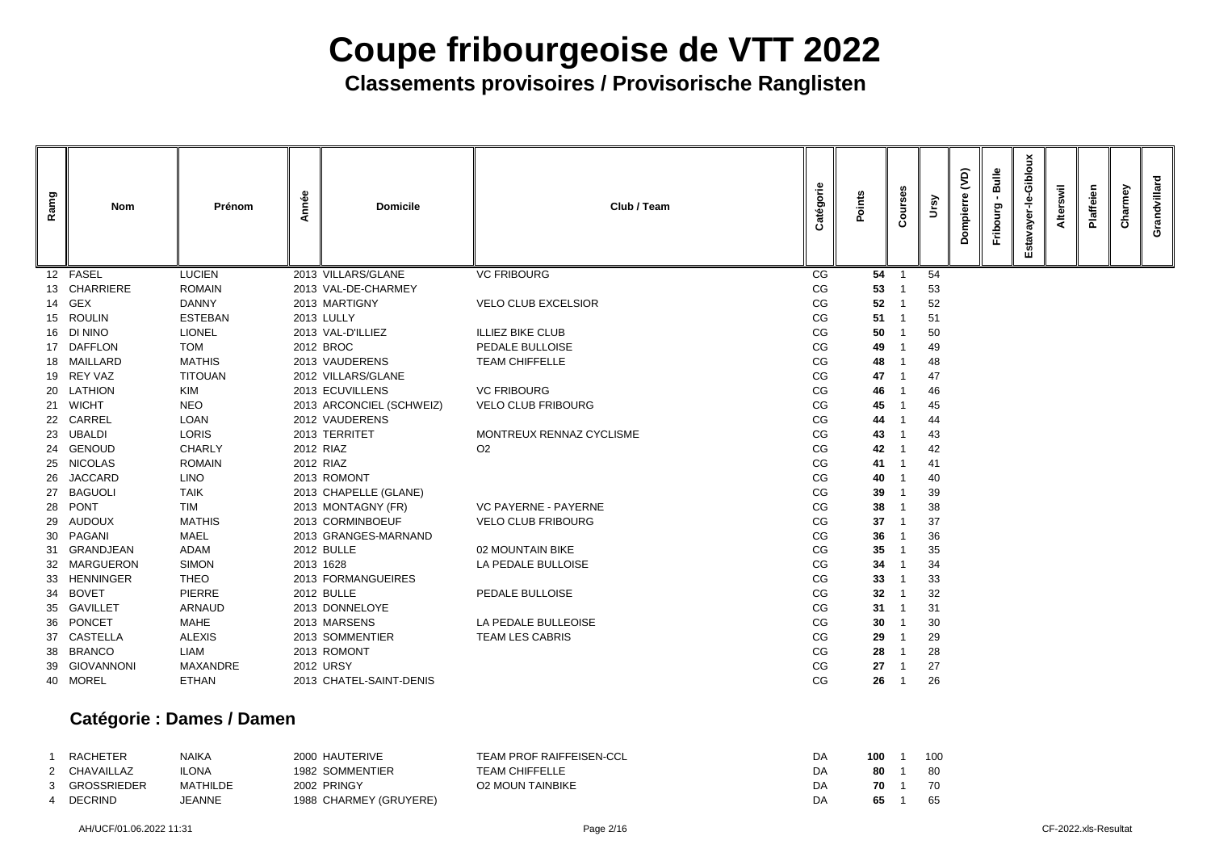**Classements provisoires / Provisorische Ranglisten**

| Ramg | <b>Nom</b>     | Prénom          | Année | <b>Domicile</b>          | Club / Team                 | atégorie | Points | ð<br>$\mathbf c$ | rsy | $\overline{Q}$<br>pierr | Bulle<br>Fribourg | Gibloux<br>ayer-le-<br>Esta | swil<br><b>Alter</b> | laffeien | Charmey | Grandvillard |
|------|----------------|-----------------|-------|--------------------------|-----------------------------|----------|--------|------------------|-----|-------------------------|-------------------|-----------------------------|----------------------|----------|---------|--------------|
|      | 12 FASEL       | <b>LUCIEN</b>   |       | 2013 VILLARS/GLANE       | <b>VC FRIBOURG</b>          | CG       | 54     |                  | 54  |                         |                   |                             |                      |          |         |              |
|      | 13 CHARRIERE   | <b>ROMAIN</b>   |       | 2013 VAL-DE-CHARMEY      |                             | CG       | 53     |                  | 53  |                         |                   |                             |                      |          |         |              |
|      | 14 GEX         | <b>DANNY</b>    |       | 2013 MARTIGNY            | <b>VELO CLUB EXCELSIOR</b>  | CG       | 52     |                  | 52  |                         |                   |                             |                      |          |         |              |
|      | 15 ROULIN      | <b>ESTEBAN</b>  |       | <b>2013 LULLY</b>        |                             | CG       | 51     |                  | 51  |                         |                   |                             |                      |          |         |              |
|      | 16 DI NINO     | <b>LIONEL</b>   |       | 2013 VAL-D'ILLIEZ        | <b>ILLIEZ BIKE CLUB</b>     | CG       | 50     |                  | 50  |                         |                   |                             |                      |          |         |              |
|      | 17 DAFFLON     | <b>TOM</b>      |       | 2012 BROC                | PEDALE BULLOISE             | CG       | 49     |                  | 49  |                         |                   |                             |                      |          |         |              |
|      | 18 MAILLARD    | <b>MATHIS</b>   |       | 2013 VAUDERENS           | <b>TEAM CHIFFELLE</b>       | CG       | 48     |                  | 48  |                         |                   |                             |                      |          |         |              |
|      | 19 REY VAZ     | <b>TITOUAN</b>  |       | 2012 VILLARS/GLANE       |                             | CG       | 47     |                  | 47  |                         |                   |                             |                      |          |         |              |
|      | 20 LATHION     | <b>KIM</b>      |       | 2013 ECUVILLENS          | <b>VC FRIBOURG</b>          | CG       | 46     |                  | 46  |                         |                   |                             |                      |          |         |              |
|      | 21 WICHT       | <b>NEO</b>      |       | 2013 ARCONCIEL (SCHWEIZ) | <b>VELO CLUB FRIBOURG</b>   | CG       | 45     |                  | 45  |                         |                   |                             |                      |          |         |              |
|      | 22 CARREL      | <b>LOAN</b>     |       | 2012 VAUDERENS           |                             | CG       | 44     |                  | 44  |                         |                   |                             |                      |          |         |              |
|      | 23 UBALDI      | <b>LORIS</b>    |       | 2013 TERRITET            | MONTREUX RENNAZ CYCLISME    | CG       | 43     |                  | 43  |                         |                   |                             |                      |          |         |              |
|      | 24 GENOUD      | <b>CHARLY</b>   |       | 2012 RIAZ                | O <sub>2</sub>              | CG       | 42     |                  | 42  |                         |                   |                             |                      |          |         |              |
|      | 25 NICOLAS     | <b>ROMAIN</b>   |       | 2012 RIAZ                |                             | CG       | 41     |                  | 41  |                         |                   |                             |                      |          |         |              |
| 26   | <b>JACCARD</b> | <b>LINO</b>     |       | 2013 ROMONT              |                             | CG       | 40     |                  | 40  |                         |                   |                             |                      |          |         |              |
| 27   | <b>BAGUOLI</b> | <b>TAIK</b>     |       | 2013 CHAPELLE (GLANE)    |                             | CG       | 39     |                  | 39  |                         |                   |                             |                      |          |         |              |
| 28   | <b>PONT</b>    | <b>TIM</b>      |       | 2013 MONTAGNY (FR)       | <b>VC PAYERNE - PAYERNE</b> | CG       | 38     |                  | 38  |                         |                   |                             |                      |          |         |              |
| 29   | <b>AUDOUX</b>  | <b>MATHIS</b>   |       | 2013 CORMINBOEUF         | <b>VELO CLUB FRIBOURG</b>   | CG       | 37     |                  | 37  |                         |                   |                             |                      |          |         |              |
| 30   | PAGANI         | <b>MAEL</b>     |       | 2013 GRANGES-MARNAND     |                             | CG       | 36     |                  | 36  |                         |                   |                             |                      |          |         |              |
| 31   | GRANDJEAN      | ADAM            |       | 2012 BULLE               | 02 MOUNTAIN BIKE            | CG       | 35     |                  | 35  |                         |                   |                             |                      |          |         |              |
|      | 32 MARGUERON   | <b>SIMON</b>    |       | 2013 1628                | LA PEDALE BULLOISE          | CG       | 34     |                  | 34  |                         |                   |                             |                      |          |         |              |
|      | 33 HENNINGER   | <b>THEO</b>     |       | 2013 FORMANGUEIRES       |                             | $CG$     | 33     |                  | 33  |                         |                   |                             |                      |          |         |              |
|      | 34 BOVET       | <b>PIERRE</b>   |       | 2012 BULLE               | PEDALE BULLOISE             | CG       | 32     |                  | 32  |                         |                   |                             |                      |          |         |              |
|      | 35 GAVILLET    | <b>ARNAUD</b>   |       | 2013 DONNELOYE           |                             | CG       | 31     |                  | 31  |                         |                   |                             |                      |          |         |              |
|      | 36 PONCET      | <b>MAHE</b>     |       | 2013 MARSENS             | LA PEDALE BULLEOISE         | CG       | 30     |                  | 30  |                         |                   |                             |                      |          |         |              |
|      | 37 CASTELLA    | <b>ALEXIS</b>   |       | 2013 SOMMENTIER          | <b>TEAM LES CABRIS</b>      | CG       | 29     |                  | 29  |                         |                   |                             |                      |          |         |              |
|      | 38 BRANCO      | LIAM            |       | 2013 ROMONT              |                             | CG       | 28     |                  | 28  |                         |                   |                             |                      |          |         |              |
|      | 39 GIOVANNONI  | <b>MAXANDRE</b> |       | <b>2012 URSY</b>         |                             | CG       | 27     |                  | 27  |                         |                   |                             |                      |          |         |              |
|      | 40 MOREL       | <b>ETHAN</b>    |       | 2013 CHATEL-SAINT-DENIS  |                             | CG       | 26     |                  | 26  |                         |                   |                             |                      |          |         |              |
|      |                |                 |       |                          |                             |          |        |                  |     |                         |                   |                             |                      |          |         |              |

### **Catégorie : Dames / Damen**

| <b>RACHETER</b> | <b>NAIKA</b> | 2000 HAUTERIVE         | <b>TEAM PROF RAIFFEISEN-CCL</b> | DA | 100 | 10 <sub>C</sub> |
|-----------------|--------------|------------------------|---------------------------------|----|-----|-----------------|
| 2 CHAVAILLAZ    | <b>ILONA</b> | 1982 SOMMENTIER        | <b>TEAM CHIFFELLE</b>           | DA | -80 | 80              |
| 3 GROSSRIEDER   | MATHILDE     | 2002 PRINGY            | <b>O2 MOUN TAINBIKE</b>         | DA | 70  | 70              |
| <b>DECRIND</b>  | JEANNE       | 1988 CHARMEY (GRUYERE) |                                 | DA | 65  | 65              |

| 100 | 1 | 100 |
|-----|---|-----|
| 80  | 1 | 80  |
| 70  | 1 | 70  |
| 65  | 1 | 65  |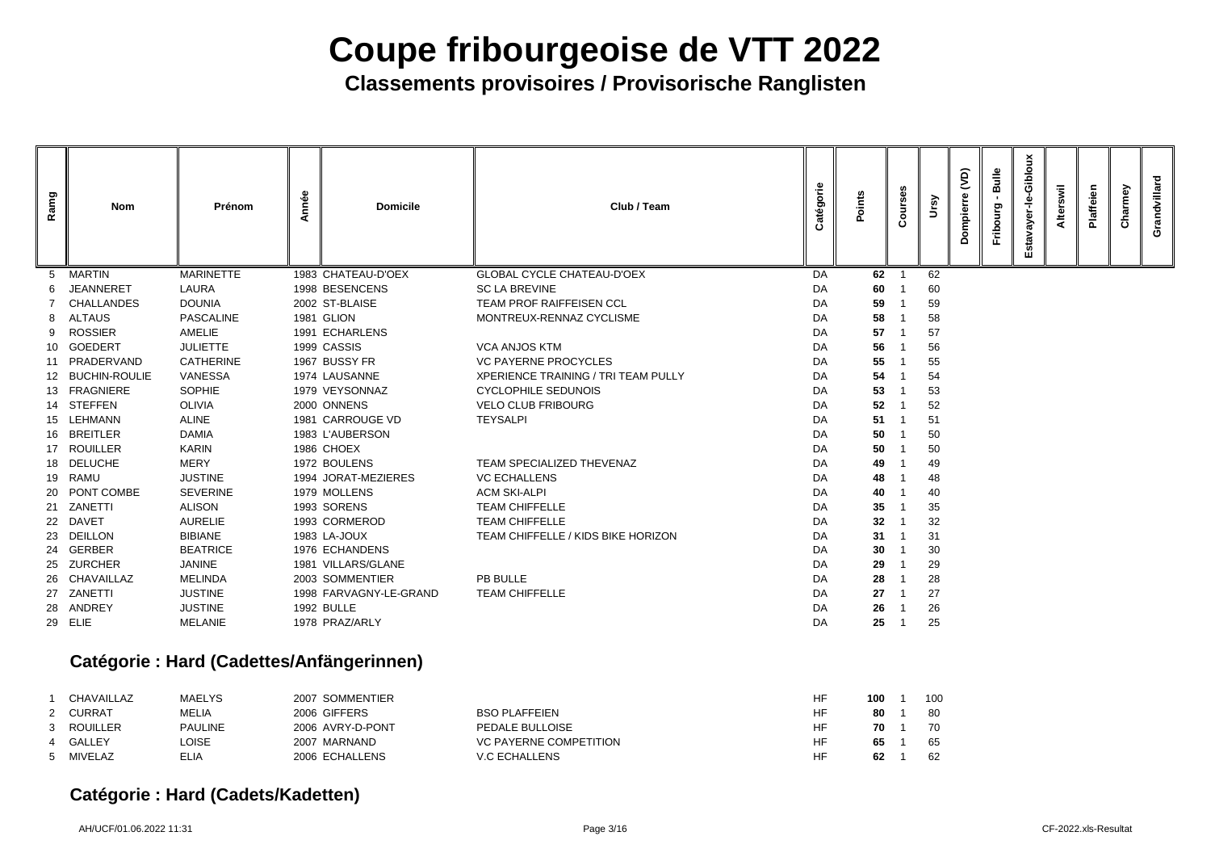**Classements provisoires / Provisorische Ranglisten**

| Ramg | <b>Nom</b>        | Prénom                                         | Année | <b>Domicile</b>        | Club / Team                                | atégorie | Points          | ပ္ယ<br>$\circ$<br>$\circ$ | ິຈ | (JC)<br>ō. | Bulle<br>Fribourg | Gibloux<br>ayer-le-<br>Esta | swil<br>Alter | Plaffeien | Charmey | Grandvillard |
|------|-------------------|------------------------------------------------|-------|------------------------|--------------------------------------------|----------|-----------------|---------------------------|----|------------|-------------------|-----------------------------|---------------|-----------|---------|--------------|
| 5    | <b>MARTIN</b>     | <b>MARINETTE</b>                               |       | 1983 CHATEAU-D'OEX     | <b>GLOBAL CYCLE CHATEAU-D'OEX</b>          | DA       | 62              |                           | 62 |            |                   |                             |               |           |         |              |
|      | <b>JEANNERET</b>  | <b>LAURA</b>                                   |       | 1998 BESENCENS         | <b>SC LA BREVINE</b>                       | DA       | 60              |                           | 60 |            |                   |                             |               |           |         |              |
|      | <b>CHALLANDES</b> | <b>DOUNIA</b>                                  |       | 2002 ST-BLAISE         | <b>TEAM PROF RAIFFEISEN CCL</b>            | DA       | 59              |                           | 59 |            |                   |                             |               |           |         |              |
| 8    | <b>ALTAUS</b>     | <b>PASCALINE</b>                               |       | 1981 GLION             | MONTREUX-RENNAZ CYCLISME                   | DA       | 58              |                           | 58 |            |                   |                             |               |           |         |              |
| 9    | <b>ROSSIER</b>    | AMELIE                                         |       | 1991 ECHARLENS         |                                            | DA       | 57              |                           | 57 |            |                   |                             |               |           |         |              |
| 10   | <b>GOEDERT</b>    | <b>JULIETTE</b>                                |       | 1999 CASSIS            | <b>VCA ANJOS KTM</b>                       | DA       | 56              |                           | 56 |            |                   |                             |               |           |         |              |
|      | 11 PRADERVAND     | <b>CATHERINE</b>                               |       | 1967 BUSSY FR          | <b>VC PAYERNE PROCYCLES</b>                | DA       | 55              |                           | 55 |            |                   |                             |               |           |         |              |
|      | 12 BUCHIN-ROULIE  | VANESSA                                        |       | 1974 LAUSANNE          | <b>XPERIENCE TRAINING / TRI TEAM PULLY</b> | DA       | 54              |                           | 54 |            |                   |                             |               |           |         |              |
|      | 13 FRAGNIERE      | <b>SOPHIE</b>                                  |       | 1979 VEYSONNAZ         | <b>CYCLOPHILE SEDUNOIS</b>                 | DA       | 53              |                           | 53 |            |                   |                             |               |           |         |              |
|      | 14 STEFFEN        | <b>OLIVIA</b>                                  |       | 2000 ONNENS            | <b>VELO CLUB FRIBOURG</b>                  | DA       | 52              |                           | 52 |            |                   |                             |               |           |         |              |
|      | 15 LEHMANN        | <b>ALINE</b>                                   |       | 1981 CARROUGE VD       | <b>TEYSALPI</b>                            | DA       | 51              |                           | 51 |            |                   |                             |               |           |         |              |
|      | 16 BREITLER       | <b>DAMIA</b>                                   |       | 1983 L'AUBERSON        |                                            | DA       | 50              |                           | 50 |            |                   |                             |               |           |         |              |
| 17   | <b>ROUILLER</b>   | <b>KARIN</b>                                   |       | 1986 CHOEX             |                                            | DA       | 50              |                           | 50 |            |                   |                             |               |           |         |              |
|      | 18 DELUCHE        | <b>MERY</b>                                    |       | 1972 BOULENS           | <b>TEAM SPECIALIZED THEVENAZ</b>           | DA       | 49              |                           | 49 |            |                   |                             |               |           |         |              |
|      | 19 RAMU           | <b>JUSTINE</b>                                 |       | 1994 JORAT-MEZIERES    | <b>VC ECHALLENS</b>                        | DA       | 48              |                           | 48 |            |                   |                             |               |           |         |              |
|      | 20 PONT COMBE     | <b>SEVERINE</b>                                |       | 1979 MOLLENS           | <b>ACM SKI-ALPI</b>                        | DA       | 40              |                           | 40 |            |                   |                             |               |           |         |              |
| 21   | ZANETTI           | <b>ALISON</b>                                  |       | 1993 SORENS            | <b>TEAM CHIFFELLE</b>                      | DA       | 35              |                           | 35 |            |                   |                             |               |           |         |              |
| 22   | <b>DAVET</b>      | <b>AURELIE</b>                                 |       | 1993 CORMEROD          | <b>TEAM CHIFFELLE</b>                      | DA       | 32 <sub>2</sub> |                           | 32 |            |                   |                             |               |           |         |              |
| 23   | <b>DEILLON</b>    | <b>BIBIANE</b>                                 |       | 1983 LA-JOUX           | TEAM CHIFFELLE / KIDS BIKE HORIZON         | DA       | 31              |                           | 31 |            |                   |                             |               |           |         |              |
| 24   | <b>GERBER</b>     | <b>BEATRICE</b>                                |       | 1976 ECHANDENS         |                                            | DA       | 30              |                           | 30 |            |                   |                             |               |           |         |              |
| 25   | <b>ZURCHER</b>    | <b>JANINE</b>                                  |       | 1981 VILLARS/GLANE     |                                            | DA       | 29              |                           | 29 |            |                   |                             |               |           |         |              |
|      | 26 CHAVAILLAZ     | <b>MELINDA</b>                                 |       | 2003 SOMMENTIER        | PB BULLE                                   | DA       | 28              |                           | 28 |            |                   |                             |               |           |         |              |
|      | 27 ZANETTI        | <b>JUSTINE</b>                                 |       | 1998 FARVAGNY-LE-GRAND | <b>TEAM CHIFFELLE</b>                      | DA       | 27              |                           | 27 |            |                   |                             |               |           |         |              |
|      | 28 ANDREY         | <b>JUSTINE</b>                                 |       | <b>1992 BULLE</b>      |                                            | DA       | 26              |                           | 26 |            |                   |                             |               |           |         |              |
|      | 29 ELIE           | <b>MELANIE</b>                                 |       | 1978 PRAZ/ARLY         |                                            | DA       | 25              |                           | 25 |            |                   |                             |               |           |         |              |
|      |                   | $C$ otánovia : Lloyd (Codotton(Antinonovinnon) |       |                        |                                            |          |                 |                           |    |            |                   |                             |               |           |         |              |

### **Catégorie : Hard (Cadettes/Anfängerinnen)**

| <b>CHAVAILLAZ</b> | <b>MAELYS</b>  | 2007 SOMMENTIER  |                               | <b>HF</b> | 100 | 10 <sub>C</sub> |
|-------------------|----------------|------------------|-------------------------------|-----------|-----|-----------------|
| 2 CURRAT          | <b>MELIA</b>   | 2006 GIFFERS     | <b>BSO PLAFFEIEN</b>          | HF        | 80  | 80              |
| 3 ROUILLER        | <b>PAULINE</b> | 2006 AVRY-D-PONT | <b>PEDALE BULLOISE</b>        | HF        | 70  | 70              |
| 4 GALLEY          | LOISE          | 2007 MARNAND     | <b>VC PAYERNE COMPETITION</b> | <b>HF</b> | 65  | 65              |
| 5 MIVELAZ         | ELIA           | 2006 ECHALLENS   | <b>V.C ECHALLENS</b>          | НF        | 62  | 62              |

### **Catégorie : Hard (Cadets/Kadetten)**

| 100 | 1 | 100 |
|-----|---|-----|
| 80  | 1 | 80  |
| 70  | 1 | 70  |
| 65  | 1 | 65  |
| 62  | 1 | 62  |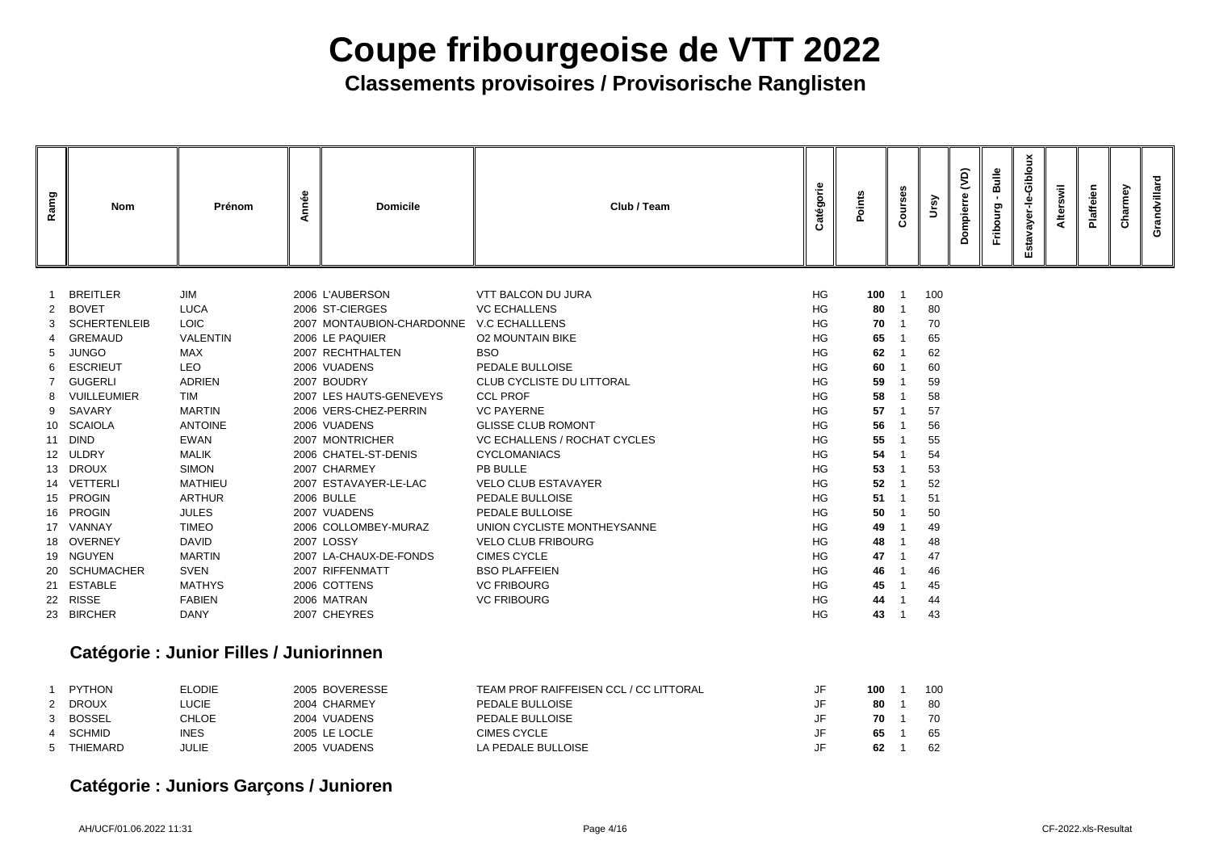## **Classements provisoires / Provisorische Ranglisten**

| Ramg | <b>Nom</b>          | Prénom                                  | Année | <b>Domicile</b>           | Club / Team                      | atégorie  | Points  | ses<br>$\overline{5}$<br>$\circ$<br>$\mathbf c$ | ີ   | $\widetilde{S}$ | Bulle<br>Fribourg | Gibloux<br>ayer-le<br>Estav | swil<br><b>Alter:</b> | Plaffeien | Charmey | Grandvillard |
|------|---------------------|-----------------------------------------|-------|---------------------------|----------------------------------|-----------|---------|-------------------------------------------------|-----|-----------------|-------------------|-----------------------------|-----------------------|-----------|---------|--------------|
|      |                     |                                         |       |                           |                                  |           |         |                                                 |     |                 |                   |                             |                       |           |         |              |
|      | <b>BREITLER</b>     | JIM                                     |       | 2006 L'AUBERSON           | <b>VTT BALCON DU JURA</b>        | HG        | $100$ 1 |                                                 | 100 |                 |                   |                             |                       |           |         |              |
| 2    | <b>BOVET</b>        | <b>LUCA</b>                             |       | 2006 ST-CIERGES           | <b>VC ECHALLENS</b>              | HG        |         | 80 1                                            | 80  |                 |                   |                             |                       |           |         |              |
| 3    | <b>SCHERTENLEIB</b> | <b>LOIC</b>                             |       | 2007 MONTAUBION-CHARDONNE | <b>V.C ECHALLLENS</b>            | HG        | 70      | - 1                                             | 70  |                 |                   |                             |                       |           |         |              |
|      | <b>GREMAUD</b>      | <b>VALENTIN</b>                         |       | 2006 LE PAQUIER           | <b>O2 MOUNTAIN BIKE</b>          | HG        | 65      |                                                 | 65  |                 |                   |                             |                       |           |         |              |
| 5    | <b>JUNGO</b>        | <b>MAX</b>                              |       | 2007 RECHTHALTEN          | <b>BSO</b>                       | HG        | 62      |                                                 | 62  |                 |                   |                             |                       |           |         |              |
| 6    | <b>ESCRIEUT</b>     | <b>LEO</b>                              |       | 2006 VUADENS              | PEDALE BULLOISE                  | <b>HG</b> | 60      | -1                                              | 60  |                 |                   |                             |                       |           |         |              |
|      | <b>GUGERLI</b>      | <b>ADRIEN</b>                           |       | 2007 BOUDRY               | <b>CLUB CYCLISTE DU LITTORAL</b> | HG        | 59      |                                                 | 59  |                 |                   |                             |                       |           |         |              |
| 8    | <b>VUILLEUMIER</b>  | <b>TIM</b>                              |       | 2007 LES HAUTS-GENEVEYS   | <b>CCL PROF</b>                  | HG        | 58      |                                                 | 58  |                 |                   |                             |                       |           |         |              |
| 9    | SAVARY              | <b>MARTIN</b>                           |       | 2006 VERS-CHEZ-PERRIN     | <b>VC PAYERNE</b>                | HG        | 57      |                                                 | 57  |                 |                   |                             |                       |           |         |              |
|      | 10 SCAIOLA          | <b>ANTOINE</b>                          |       | 2006 VUADENS              | <b>GLISSE CLUB ROMONT</b>        | <b>HG</b> | 56      |                                                 | 56  |                 |                   |                             |                       |           |         |              |
|      | 11 DIND             | <b>EWAN</b>                             |       | 2007 MONTRICHER           | VC ECHALLENS / ROCHAT CYCLES     | HG        | 55      |                                                 | 55  |                 |                   |                             |                       |           |         |              |
|      | 12 ULDRY            | <b>MALIK</b>                            |       | 2006 CHATEL-ST-DENIS      | <b>CYCLOMANIACS</b>              | HG        | 54      |                                                 | 54  |                 |                   |                             |                       |           |         |              |
| 13   | <b>DROUX</b>        | <b>SIMON</b>                            |       | 2007 CHARMEY              | PB BULLE                         | HG        | 53      |                                                 | 53  |                 |                   |                             |                       |           |         |              |
|      | 14 VETTERLI         | <b>MATHIEU</b>                          |       | 2007 ESTAVAYER-LE-LAC     | <b>VELO CLUB ESTAVAYER</b>       | HG        | 52      |                                                 | 52  |                 |                   |                             |                       |           |         |              |
| 15   | <b>PROGIN</b>       | <b>ARTHUR</b>                           |       | <b>2006 BULLE</b>         | PEDALE BULLOISE                  | HG        | 51      |                                                 | 51  |                 |                   |                             |                       |           |         |              |
| 16   | <b>PROGIN</b>       | <b>JULES</b>                            |       | 2007 VUADENS              | PEDALE BULLOISE                  | HG        | 50      |                                                 | 50  |                 |                   |                             |                       |           |         |              |
| 17   | VANNAY              | <b>TIMEO</b>                            |       | 2006 COLLOMBEY-MURAZ      | UNION CYCLISTE MONTHEYSANNE      | HG        | 49      |                                                 | 49  |                 |                   |                             |                       |           |         |              |
|      | 18 OVERNEY          | <b>DAVID</b>                            |       | 2007 LOSSY                | <b>VELO CLUB FRIBOURG</b>        | <b>HG</b> | 48      |                                                 | 48  |                 |                   |                             |                       |           |         |              |
|      | 19 NGUYEN           | <b>MARTIN</b>                           |       | 2007 LA-CHAUX-DE-FONDS    | <b>CIMES CYCLE</b>               | HG        | 47      |                                                 | 47  |                 |                   |                             |                       |           |         |              |
|      | 20 SCHUMACHER       | <b>SVEN</b>                             |       | 2007 RIFFENMATT           | <b>BSO PLAFFEIEN</b>             | <b>HG</b> | 46      |                                                 | 46  |                 |                   |                             |                       |           |         |              |
|      | 21 ESTABLE          | <b>MATHYS</b>                           |       | 2006 COTTENS              | <b>VC FRIBOURG</b>               | HG        | 45      |                                                 | 45  |                 |                   |                             |                       |           |         |              |
|      | 22 RISSE            | <b>FABIEN</b>                           |       | 2006 MATRAN               | <b>VC FRIBOURG</b>               | HG        | 44      |                                                 | 44  |                 |                   |                             |                       |           |         |              |
|      | 23 BIRCHER          | <b>DANY</b>                             |       | 2007 CHEYRES              |                                  | HG        | 43      | -1                                              | 43  |                 |                   |                             |                       |           |         |              |
|      |                     | Catégorie : Junior Filles / Juniorinnen |       |                           |                                  |           |         |                                                 |     |                 |                   |                             |                       |           |         |              |

### **Catégorie : Junior Filles / Juniorinnen**

|   | <b>PYTHON</b> | <b>ELODIE</b> | 2005 BOVERESSE | TEAM PROF RAIFFEISEN CCL / CC LITTORAL | JF | 100 | 10 <sub>C</sub> |
|---|---------------|---------------|----------------|----------------------------------------|----|-----|-----------------|
|   | 2 DROUX       | LUCIE         | 2004 CHARMEY   | <b>PEDALE BULLOISE</b>                 |    | 80  | 80              |
| 3 | BOSSEL        | CHLOE         | 2004 VUADENS   | <b>PEDALE BULLOISE</b>                 |    | 70  | 70              |
|   | 4 SCHMID      | <b>INES</b>   | 2005 LE LOCLE  | <b>CIMES CYCLE</b>                     |    | 65  | 65              |
|   | 5 THIEMARD    | JULIE         | 2005 VUADENS   | LA PEDALE BULLOISE                     |    | 62  | 62              |

### **Catégorie : Juniors Garçons / Junioren**

| 100 | 1 | 100 |
|-----|---|-----|
| 80  | 1 | 80  |
| 70  | 1 | 70  |
| 65  | 1 | 65  |
| 62  | 1 | 62  |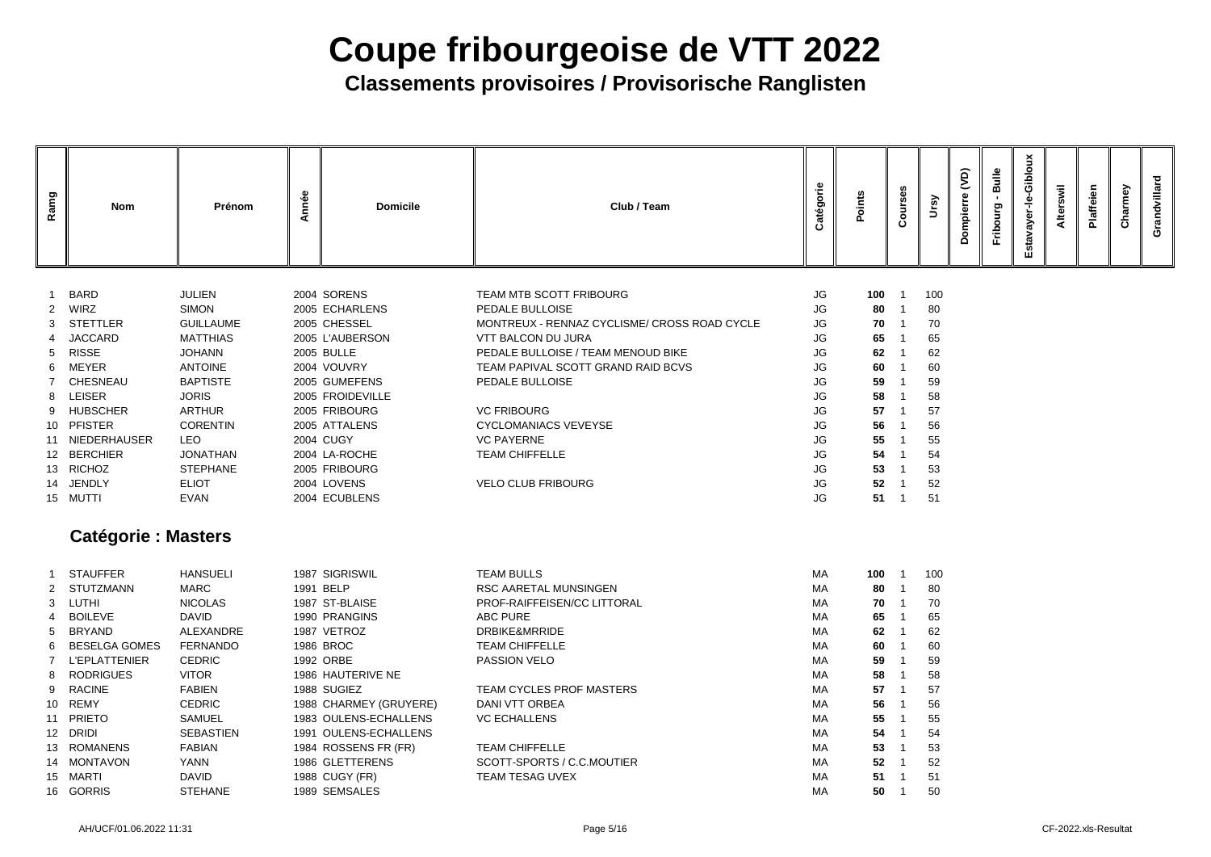| Ramg<br><b>Nom</b><br>Prénom                                                                                                                                                                                                                                                                                                                                                                                                                                                                                                                       | Année<br><b>Domicile</b>                                                                                                                                                                                                                                          | Club / Team                                                                                                                                                                                                                                                                                                                                            | Catégorie                                                                                                                               | Points                                                                                  | Courses   | Ursy                                                                                    | $\widetilde{S}$<br>Dompierre | Bulle<br>Fribourg | ayer-le-Gibloux<br><b>Estav</b> | Alterswil | Plaffeien | Charmey | Grandvillard |
|----------------------------------------------------------------------------------------------------------------------------------------------------------------------------------------------------------------------------------------------------------------------------------------------------------------------------------------------------------------------------------------------------------------------------------------------------------------------------------------------------------------------------------------------------|-------------------------------------------------------------------------------------------------------------------------------------------------------------------------------------------------------------------------------------------------------------------|--------------------------------------------------------------------------------------------------------------------------------------------------------------------------------------------------------------------------------------------------------------------------------------------------------------------------------------------------------|-----------------------------------------------------------------------------------------------------------------------------------------|-----------------------------------------------------------------------------------------|-----------|-----------------------------------------------------------------------------------------|------------------------------|-------------------|---------------------------------|-----------|-----------|---------|--------------|
| BARD<br><b>JULIEN</b><br><b>SIMON</b><br><b>WIRZ</b><br>$\overline{2}$<br><b>STETTLER</b><br><b>GUILLAUME</b><br>-3<br><b>JACCARD</b><br><b>MATTHIAS</b><br><b>RISSE</b><br><b>JOHANN</b><br>5<br><b>ANTOINE</b><br>MEYER<br>6<br><b>BAPTISTE</b><br><b>CHESNEAU</b><br><b>LEISER</b><br><b>JORIS</b><br>8<br><b>HUBSCHER</b><br><b>ARTHUR</b><br>9<br>10 PFISTER<br><b>CORENTIN</b><br><b>LEO</b><br>NIEDERHAUSER<br>11<br>12 BERCHIER<br><b>JONATHAN</b><br>13 RICHOZ<br><b>STEPHANE</b><br><b>ELIOT</b><br>14 JENDLY<br>15 MUTTI<br><b>EVAN</b> | 2004 SORENS<br>2005 ECHARLENS<br>2005 CHESSEL<br>2005 L'AUBERSON<br><b>2005 BULLE</b><br>2004 VOUVRY<br>2005 GUMEFENS<br>2005 FROIDEVILLE<br>2005 FRIBOURG<br>2005 ATTALENS<br><b>2004 CUGY</b><br>2004 LA-ROCHE<br>2005 FRIBOURG<br>2004 LOVENS<br>2004 ECUBLENS | TEAM MTB SCOTT FRIBOURG<br>PEDALE BULLOISE<br>MONTREUX - RENNAZ CYCLISME/ CROSS ROAD CYCLE<br><b>VTT BALCON DU JURA</b><br>PEDALE BULLOISE / TEAM MENOUD BIKE<br>TEAM PAPIVAL SCOTT GRAND RAID BCVS<br>PEDALE BULLOISE<br><b>VC FRIBOURG</b><br><b>CYCLOMANIACS VEVEYSE</b><br><b>VC PAYERNE</b><br><b>TEAM CHIFFELLE</b><br><b>VELO CLUB FRIBOURG</b> | <b>JG</b><br><b>JG</b><br>JG<br><b>JG</b><br>JG<br>JG<br>JG<br><b>JG</b><br>JG<br><b>JG</b><br>JG<br><b>JG</b><br>JG<br><b>JG</b><br>JG | 100<br>80<br>70<br>65<br>62<br>60<br>59<br>58<br>57<br>56<br>55<br>54<br>53<br>52<br>51 |           | 100<br>80<br>70<br>65<br>62<br>60<br>59<br>58<br>57<br>56<br>55<br>54<br>53<br>52<br>51 |                              |                   |                                 |           |           |         |              |
| <b>Catégorie : Masters</b><br>1 STAUFFER<br><b>HANSUELI</b><br>STUTZMANN<br>MARC<br>2<br>LUTHI<br><b>NICOLAS</b><br>3<br><b>BOILEVE</b><br><b>DAVID</b><br>BRYAND<br>ALEXANDRE<br>5<br><b>BESELGA GOMES</b><br><b>FERNANDO</b><br>6<br><b>L'EPLATTENIER</b><br><b>CEDRIC</b><br><b>RODRIGUES</b><br><b>VITOR</b><br>8<br><b>RACINE</b><br><b>FABIEN</b><br>9<br>10 REMY<br><b>CEDRIC</b><br><b>SAMUEL</b><br><b>PRIETO</b><br>11<br>12 DRIDI<br><b>SEBASTIEN</b><br>13 ROMANENS<br><b>FABIAN</b>                                                   | 1987 SIGRISWIL<br>1991 BELP<br>1987 ST-BLAISE<br>1990 PRANGINS<br>1987 VETROZ<br>1986 BROC<br>1992 ORBE<br>1986 HAUTERIVE NE<br>1988 SUGIEZ<br>1988 CHARMEY (GRUYERE)<br>1983 OULENS-ECHALLENS<br>1991 OULENS-ECHALLENS<br>1984 ROSSENS FR (FR)                   | <b>TEAM BULLS</b><br>RSC AARETAL MUNSINGEN<br>PROF-RAIFFEISEN/CC LITTORAL<br><b>ABC PURE</b><br>DRBIKE&MRRIDE<br><b>TEAM CHIFFELLE</b><br>PASSION VELO<br>TEAM CYCLES PROF MASTERS<br>DANI VTT ORBEA<br><b>VC ECHALLENS</b><br><b>TEAM CHIFFELLE</b>                                                                                                   | MA<br>МA<br>MA<br>MA<br>МA<br>МA<br>МA<br>МA<br>МA<br>МA<br>МA<br>МA<br>МA                                                              | 80<br>70<br>65<br>62<br>60<br>59<br>58<br>57<br>56<br>55<br>54<br>53                    | 100 1 100 | 80<br>70<br>65<br>62<br>60<br>59<br>58<br>57<br>56<br>55<br>54<br>53                    |                              |                   |                                 |           |           |         |              |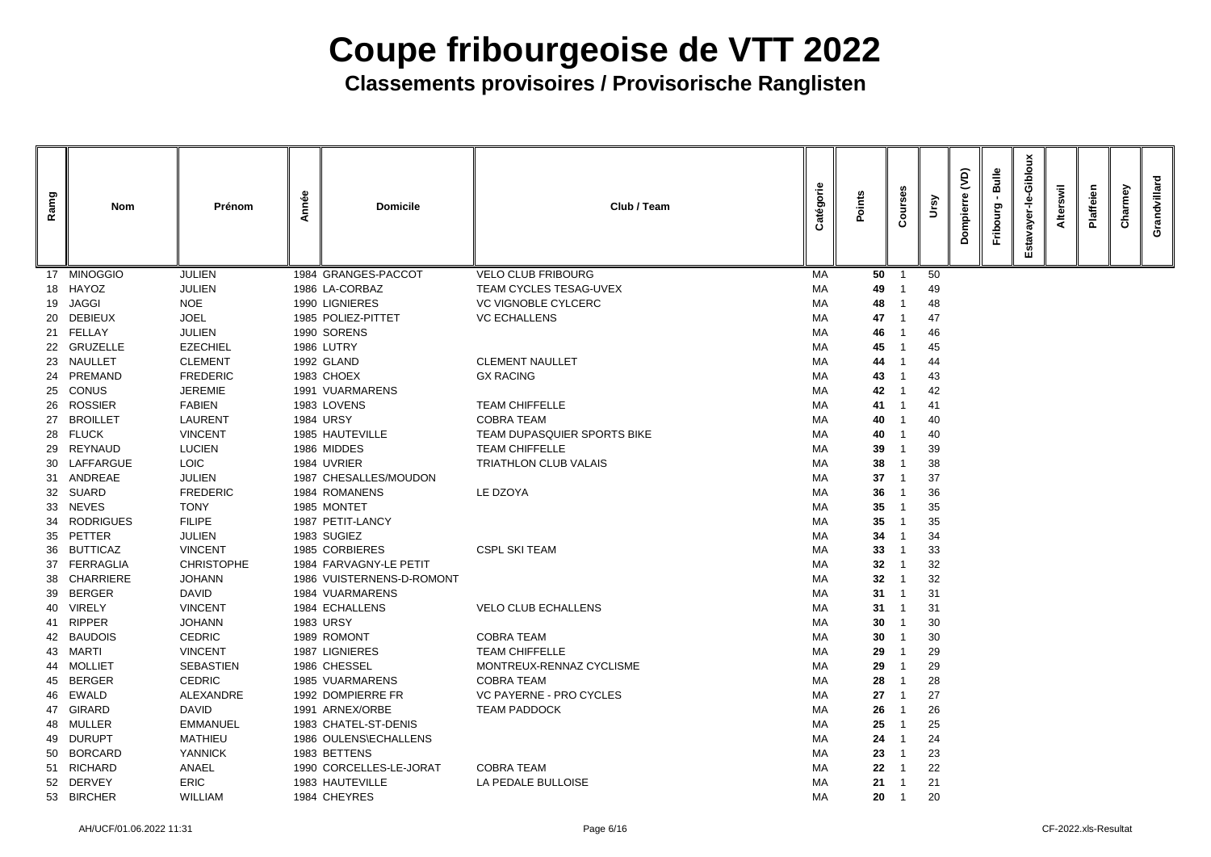| Ramg | <b>Nom</b>                    | Prénom                        | Année | <b>Domicile</b>                          | Club / Team                    | Catégorie | Points          | $\epsilon$         | Ursy     | <u>ි</u><br>ēΓ<br>ة<br>O<br>Δ | Bulle<br>Fribourg | Giblor<br>৳<br>ш. | swil<br>Alter | laffeien | δ<br>Charme | ndvillard<br>ò |
|------|-------------------------------|-------------------------------|-------|------------------------------------------|--------------------------------|-----------|-----------------|--------------------|----------|-------------------------------|-------------------|-------------------|---------------|----------|-------------|----------------|
|      | 17 MINOGGIO                   | <b>JULIEN</b>                 |       | 1984 GRANGES-PACCOT                      | <b>VELO CLUB FRIBOURG</b>      | MA        | 50              |                    | 50       |                               |                   |                   |               |          |             |                |
|      | 18 HAYOZ                      | <b>JULIEN</b>                 |       | 1986 LA-CORBAZ                           | TEAM CYCLES TESAG-UVEX         | MA        | 49              |                    | 49       |                               |                   |                   |               |          |             |                |
| 19   | <b>JAGGI</b>                  | <b>NOE</b>                    |       | 1990 LIGNIERES                           | <b>VC VIGNOBLE CYLCERC</b>     | МA        | 48              |                    | 48       |                               |                   |                   |               |          |             |                |
| 20   | <b>DEBIEUX</b>                | <b>JOEL</b>                   |       | 1985 POLIEZ-PITTET                       | <b>VC ECHALLENS</b>            | MA        | 47              |                    | 47       |                               |                   |                   |               |          |             |                |
|      | 21 FELLAY                     | <b>JULIEN</b>                 |       | 1990 SORENS                              |                                | МA        | 46              |                    | 46       |                               |                   |                   |               |          |             |                |
|      | 22 GRUZELLE                   | <b>EZECHIEL</b>               |       | 1986 LUTRY                               |                                | MA        | 45              |                    | 45       |                               |                   |                   |               |          |             |                |
|      | 23 NAULLET                    | <b>CLEMENT</b>                |       | 1992 GLAND                               | <b>CLEMENT NAULLET</b>         | МA        | 44              |                    | 44       |                               |                   |                   |               |          |             |                |
| 24   | PREMAND                       | <b>FREDERIC</b>               |       | 1983 CHOEX                               | <b>GX RACING</b>               | MA        | 43              |                    | 43       |                               |                   |                   |               |          |             |                |
|      | 25 CONUS                      | <b>JEREMIE</b>                |       | 1991 VUARMARENS                          |                                | МA        | 42              |                    | 42       |                               |                   |                   |               |          |             |                |
| 26   | <b>ROSSIER</b>                | <b>FABIEN</b>                 |       | 1983 LOVENS                              | <b>TEAM CHIFFELLE</b>          | МA        | 41              |                    | 41       |                               |                   |                   |               |          |             |                |
| 27   | <b>BROILLET</b>               | <b>LAURENT</b>                |       | <b>1984 URSY</b>                         | <b>COBRA TEAM</b>              | МA        | 40              |                    | 40       |                               |                   |                   |               |          |             |                |
| 28   | <b>FLUCK</b>                  | <b>VINCENT</b>                |       | 1985 HAUTEVILLE                          | TEAM DUPASQUIER SPORTS BIKE    | MA        | 40              |                    | 40       |                               |                   |                   |               |          |             |                |
| 29   | <b>REYNAUD</b>                | <b>LUCIEN</b>                 |       | 1986 MIDDES                              | <b>TEAM CHIFFELLE</b>          | МA        | 39              |                    | 39       |                               |                   |                   |               |          |             |                |
| 30   | LAFFARGUE                     | <b>LOIC</b>                   |       | 1984 UVRIER                              | <b>TRIATHLON CLUB VALAIS</b>   | МA        | 38              |                    | 38       |                               |                   |                   |               |          |             |                |
|      | 31 ANDREAE                    | <b>JULIEN</b>                 |       | 1987 CHESALLES/MOUDON                    |                                | МA        | 37              |                    | 37       |                               |                   |                   |               |          |             |                |
|      | 32 SUARD                      | <b>FREDERIC</b>               |       | 1984 ROMANENS                            | LE DZOYA                       | МA        | 36              |                    | 36       |                               |                   |                   |               |          |             |                |
| 33   | <b>NEVES</b>                  | <b>TONY</b>                   |       | 1985 MONTET                              |                                | МA        | 35              |                    | 35       |                               |                   |                   |               |          |             |                |
| 34   | <b>RODRIGUES</b>              | <b>FILIPE</b>                 |       | 1987 PETIT-LANCY                         |                                | МA        | 35              |                    | 35       |                               |                   |                   |               |          |             |                |
| 35   | PETTER                        | <b>JULIEN</b>                 |       | 1983 SUGIEZ                              |                                | МA        | 34              |                    | 34       |                               |                   |                   |               |          |             |                |
| 36   | <b>BUTTICAZ</b>               | <b>VINCENT</b>                |       | 1985 CORBIERES<br>1984 FARVAGNY-LE PETIT | <b>CSPL SKI TEAM</b>           | MA        | 33              |                    | 33       |                               |                   |                   |               |          |             |                |
|      | 37 FERRAGLIA                  | <b>CHRISTOPHE</b>             |       |                                          |                                | МA        | 32              |                    | 32       |                               |                   |                   |               |          |             |                |
|      | 38 CHARRIERE<br><b>BERGER</b> | <b>JOHANN</b><br><b>DAVID</b> |       | 1986 VUISTERNENS-D-ROMONT                |                                | MA        | 31              | $32 \quad 1$<br>-1 | 32       |                               |                   |                   |               |          |             |                |
| 39   | 40 VIRELY                     | <b>VINCENT</b>                |       | 1984 VUARMARENS<br>1984 ECHALLENS        | <b>VELO CLUB ECHALLENS</b>     | MA<br>MA  | 31              | -1                 | 31       |                               |                   |                   |               |          |             |                |
|      | 41 RIPPER                     | <b>JOHANN</b>                 |       | <b>1983 URSY</b>                         |                                | MA        | 30 <sup>°</sup> |                    | 31<br>30 |                               |                   |                   |               |          |             |                |
|      | 42 BAUDOIS                    | <b>CEDRIC</b>                 |       | 1989 ROMONT                              | <b>COBRA TEAM</b>              | МA        | 30              |                    | 30       |                               |                   |                   |               |          |             |                |
|      | 43 MARTI                      | <b>VINCENT</b>                |       | 1987 LIGNIERES                           | <b>TEAM CHIFFELLE</b>          | МA        | 29              |                    | 29       |                               |                   |                   |               |          |             |                |
|      | 44 MOLLIET                    | <b>SEBASTIEN</b>              |       | 1986 CHESSEL                             | MONTREUX-RENNAZ CYCLISME       | МA        | 29              |                    | 29       |                               |                   |                   |               |          |             |                |
| -45  | <b>BERGER</b>                 | <b>CEDRIC</b>                 |       | 1985 VUARMARENS                          | <b>COBRA TEAM</b>              | MA        | 28              |                    | 28       |                               |                   |                   |               |          |             |                |
| -46  | EWALD                         | ALEXANDRE                     |       | 1992 DOMPIERRE FR                        | <b>VC PAYERNE - PRO CYCLES</b> | МA        | 27              |                    | 27       |                               |                   |                   |               |          |             |                |
| 47   | GIRARD                        | <b>DAVID</b>                  |       | 1991 ARNEX/ORBE                          | <b>TEAM PADDOCK</b>            | МA        | 26              |                    | 26       |                               |                   |                   |               |          |             |                |
|      | 48 MULLER                     | <b>EMMANUEL</b>               |       | 1983 CHATEL-ST-DENIS                     |                                | MA        | 25              |                    | 25       |                               |                   |                   |               |          |             |                |
| 49   | <b>DURUPT</b>                 | <b>MATHIEU</b>                |       | 1986 OULENS\ECHALLENS                    |                                | МA        | 24              |                    | 24       |                               |                   |                   |               |          |             |                |
| 50   | <b>BORCARD</b>                | <b>YANNICK</b>                |       | 1983 BETTENS                             |                                | МA        | 23              |                    | 23       |                               |                   |                   |               |          |             |                |
|      | 51 RICHARD                    | ANAEL                         |       | 1990 CORCELLES-LE-JORAT                  | <b>COBRA TEAM</b>              | МA        | 22              |                    | 22       |                               |                   |                   |               |          |             |                |
|      | 52 DERVEY                     | <b>ERIC</b>                   |       | 1983 HAUTEVILLE                          | LA PEDALE BULLOISE             | МA        | 21              | -1                 | 21       |                               |                   |                   |               |          |             |                |
|      | 53 BIRCHER                    | <b>WILLIAM</b>                |       | 1984 CHEYRES                             |                                | МA        | 20              | $\overline{1}$     | 20       |                               |                   |                   |               |          |             |                |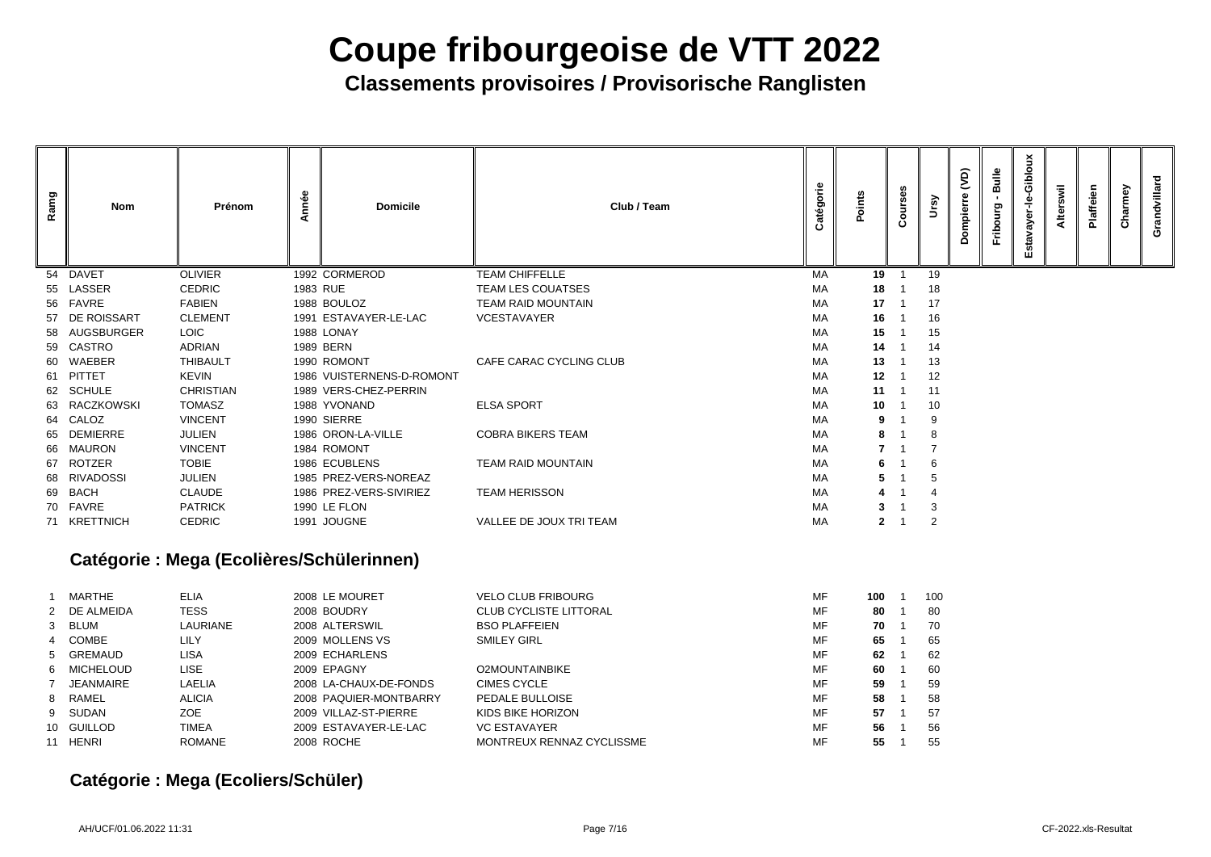**Classements provisoires / Provisorische Ranglisten**

| Ramg           | <b>Nom</b>        | Prénom                                    | Année    | <b>Domicile</b>           | Club / Team                   | atégorie | Points       | Courses                  | Ursy           | $\widetilde{S}$<br>Dompierre | Bulle<br>Fribourg | Estavayer-le-Gibloux | Alterswil | Plaffeien | Charmey | Grandvillard |
|----------------|-------------------|-------------------------------------------|----------|---------------------------|-------------------------------|----------|--------------|--------------------------|----------------|------------------------------|-------------------|----------------------|-----------|-----------|---------|--------------|
| 54             | <b>DAVET</b>      | <b>OLIVIER</b>                            |          | 1992 CORMEROD             | <b>TEAM CHIFFELLE</b>         | MA       | 19           | -1                       | 19             |                              |                   |                      |           |           |         |              |
| 55             | LASSER            | <b>CEDRIC</b>                             | 1983 RUE |                           | TEAM LES COUATSES             | МA       | 18           |                          | 18             |                              |                   |                      |           |           |         |              |
|                | 56 FAVRE          | <b>FABIEN</b>                             |          | 1988 BOULOZ               | <b>TEAM RAID MOUNTAIN</b>     | МA       | 17           |                          | 17             |                              |                   |                      |           |           |         |              |
| 57             | DE ROISSART       | <b>CLEMENT</b>                            |          | 1991 ESTAVAYER-LE-LAC     | <b>VCESTAVAYER</b>            | МA       | 16           |                          | 16             |                              |                   |                      |           |           |         |              |
| 58             | AUGSBURGER        | <b>LOIC</b>                               |          | 1988 LONAY                |                               | МA       | 15           |                          | 15             |                              |                   |                      |           |           |         |              |
| 59             | CASTRO            | <b>ADRIAN</b>                             |          | 1989 BERN                 |                               | МA       | 14           |                          | 14             |                              |                   |                      |           |           |         |              |
| 60             | WAEBER            | <b>THIBAULT</b>                           |          | 1990 ROMONT               | CAFE CARAC CYCLING CLUB       | МA       | 13           |                          | 13             |                              |                   |                      |           |           |         |              |
| 61             | PITTET            | <b>KEVIN</b>                              |          | 1986 VUISTERNENS-D-ROMONT |                               | МA       | 12           | -1                       | 12             |                              |                   |                      |           |           |         |              |
|                | 62 SCHULE         | <b>CHRISTIAN</b>                          |          | 1989 VERS-CHEZ-PERRIN     |                               | МA       | 11           | - 1                      | 11             |                              |                   |                      |           |           |         |              |
| 63             | <b>RACZKOWSKI</b> | <b>TOMASZ</b>                             |          | 1988 YVONAND              | <b>ELSA SPORT</b>             | МA       | 10           |                          | 10             |                              |                   |                      |           |           |         |              |
| 64             | CALOZ             | <b>VINCENT</b>                            |          | 1990 SIERRE               |                               | МA       | 9            |                          | 9              |                              |                   |                      |           |           |         |              |
| 65             | <b>DEMIERRE</b>   | <b>JULIEN</b>                             |          | 1986 ORON-LA-VILLE        | <b>COBRA BIKERS TEAM</b>      | МA       | 8            |                          |                |                              |                   |                      |           |           |         |              |
| 66             | <b>MAURON</b>     | <b>VINCENT</b>                            |          | 1984 ROMONT               |                               | МA       |              |                          |                |                              |                   |                      |           |           |         |              |
| 67             | <b>ROTZER</b>     | <b>TOBIE</b>                              |          | 1986 ECUBLENS             | <b>TEAM RAID MOUNTAIN</b>     | МA       | 6            |                          |                |                              |                   |                      |           |           |         |              |
| 68             | <b>RIVADOSSI</b>  | <b>JULIEN</b>                             |          | 1985 PREZ-VERS-NOREAZ     |                               | МA       | 5            |                          |                |                              |                   |                      |           |           |         |              |
|                | 69 BACH           | <b>CLAUDE</b>                             |          | 1986 PREZ-VERS-SIVIRIEZ   | <b>TEAM HERISSON</b>          | МA       |              |                          |                |                              |                   |                      |           |           |         |              |
|                | 70 FAVRE          | <b>PATRICK</b>                            |          | 1990 LE FLON              |                               | МA       | 3.           |                          |                |                              |                   |                      |           |           |         |              |
|                | 71 KRETTNICH      | <b>CEDRIC</b>                             |          | 1991 JOUGNE               | VALLEE DE JOUX TRI TEAM       | МA       | $\mathbf{2}$ | $\overline{\phantom{1}}$ | $\overline{2}$ |                              |                   |                      |           |           |         |              |
|                |                   | Catégorie : Mega (Ecolières/Schülerinnen) |          |                           |                               |          |              |                          |                |                              |                   |                      |           |           |         |              |
| -1             | MARTHE            | <b>ELIA</b>                               |          | 2008 LE MOURET            | <b>VELO CLUB FRIBOURG</b>     | MF       | $100$ 1      |                          | 100            |                              |                   |                      |           |           |         |              |
|                | 2 DE ALMEIDA      | <b>TESS</b>                               |          | 2008 BOUDRY               | <b>CLUB CYCLISTE LITTORAL</b> | MF       | 80           | - 1                      | 80             |                              |                   |                      |           |           |         |              |
| 3 <sup>1</sup> | <b>BLUM</b>       | LAURIANE                                  |          | 2008 ALTERSWIL            | <b>BSO PLAFFEIEN</b>          | MF       | 70           | - 1                      | 70             |                              |                   |                      |           |           |         |              |
|                | COMBE             | <b>LILY</b>                               |          | 2009 MOLLENS VS           | <b>SMILEY GIRL</b>            | MF       | 65           | -1                       | 65             |                              |                   |                      |           |           |         |              |
| 5              | <b>GREMAUD</b>    | <b>LISA</b>                               |          | 2009 ECHARLENS            |                               | MF       | 62           | -1                       | 62             |                              |                   |                      |           |           |         |              |
| 6              | <b>MICHELOUD</b>  | <b>LISE</b>                               |          | 2009 EPAGNY               | <b>O2MOUNTAINBIKE</b>         | MF       | 60           | - 1                      | 60             |                              |                   |                      |           |           |         |              |
|                | <b>JEANMAIRE</b>  | LAELIA                                    |          | 2008 LA-CHAUX-DE-FONDS    | <b>CIMES CYCLE</b>            | MF       | 59           | -1                       | 59             |                              |                   |                      |           |           |         |              |
|                | 8 RAMEL           | <b>ALICIA</b>                             |          | 2008 PAQUIER-MONTBARRY    | PEDALE BULLOISE               | MF       | 58           | -1                       | 58             |                              |                   |                      |           |           |         |              |

| MARTHE       | <b>ELIA</b>     | 2008 LE MOURET         | <b>VELO CLUB FRIBOURG</b>     | MF | 100 | 10 <sub>0</sub> |
|--------------|-----------------|------------------------|-------------------------------|----|-----|-----------------|
| 2 DE ALMEIDA | <b>TESS</b>     | 2008 BOUDRY            | <b>CLUB CYCLISTE LITTORAL</b> | MF | 80  | 80              |
| 3 BLUM       | <b>LAURIANE</b> | 2008 ALTERSWIL         | <b>BSO PLAFFEIEN</b>          | MF | 70  | 70              |
| 4 COMBE      | LILY            | 2009 MOLLENS VS        | <b>SMILEY GIRL</b>            | MF | 65  | 65              |
| 5 GREMAUD    | LISA            | 2009 ECHARLENS         |                               | MF | 62  | 62              |
| 6 MICHELOUD  | LISE.           | 2009 EPAGNY            | <b>O2MOUNTAINBIKE</b>         | MF | 60  | <b>60</b>       |
| JEANMAIRE    | <b>LAELIA</b>   | 2008 LA-CHAUX-DE-FONDS | <b>CIMES CYCLE</b>            | MF | 59  | 59              |
| 8 RAMEL      | <b>ALICIA</b>   | 2008 PAQUIER-MONTBARRY | <b>PEDALE BULLOISE</b>        | MF | 58  | 58              |
| 9 SUDAN      | ZOE             | 2009 VILLAZ-ST-PIERRE  | KIDS BIKE HORIZON             | MF | 57  | -57             |
| 10 GUILLOD   | <b>TIMEA</b>    | 2009 ESTAVAYER-LE-LAC  | <b>VC ESTAVAYER</b>           | MF | 56  | 56              |
| 11 HENRI     | ROMANE          | 2008 ROCHE             | MONTREUX RENNAZ CYCLISSME     | MF | 55  | 55              |

### **Catégorie : Mega (Ecoliers/Schüler)**

- 
-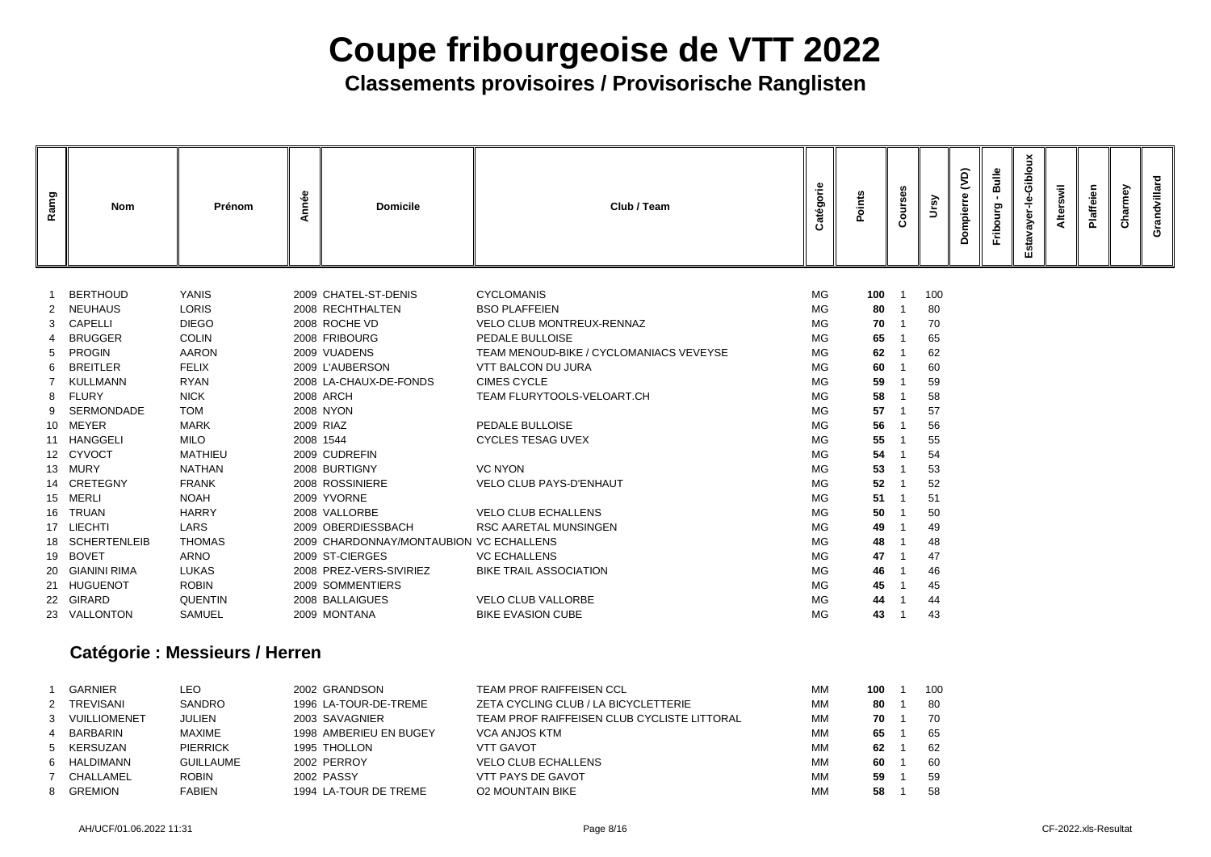## **Classements provisoires / Provisorische Ranglisten**

| Ramg | Nom                          | Prénom                          | Année     | <b>Domicile</b>                          | Club / Team                               | atégorie  | Points               | $\circ$<br>Õ |          | $\overline{Q}$<br>mpie | Bulle<br>Fribourg | Gibloux<br>ayer-le<br><b>Estav</b> | Alterswil | Plaffeien | Charmey | Grandvillard |
|------|------------------------------|---------------------------------|-----------|------------------------------------------|-------------------------------------------|-----------|----------------------|--------------|----------|------------------------|-------------------|------------------------------------|-----------|-----------|---------|--------------|
|      |                              |                                 |           |                                          |                                           |           |                      |              |          |                        |                   |                                    |           |           |         |              |
|      | <b>BERTHOUD</b><br>2 NEUHAUS | <b>YANIS</b>                    |           | 2009 CHATEL-ST-DENIS<br>2008 RECHTHALTEN | <b>CYCLOMANIS</b><br><b>BSO PLAFFEIEN</b> | MG        | $100$ 1              |              | 100      |                        |                   |                                    |           |           |         |              |
| 3    | <b>CAPELLI</b>               | <b>LORIS</b><br><b>DIEGO</b>    |           | 2008 ROCHE VD                            | <b>VELO CLUB MONTREUX-RENNAZ</b>          | MG<br>MG  | 80 1<br>$70 \quad 1$ |              | 80<br>70 |                        |                   |                                    |           |           |         |              |
|      | <b>BRUGGER</b>               | <b>COLIN</b>                    |           | 2008 FRIBOURG                            | PEDALE BULLOISE                           | MG        | 65                   |              | 65       |                        |                   |                                    |           |           |         |              |
| 5.   | <b>PROGIN</b>                | <b>AARON</b>                    |           | 2009 VUADENS                             | TEAM MENOUD-BIKE / CYCLOMANIACS VEVEYSE   | MG        | 62                   |              | 62       |                        |                   |                                    |           |           |         |              |
| 6    | <b>BREITLER</b>              | <b>FELIX</b>                    |           | 2009 L'AUBERSON                          | <b>VTT BALCON DU JURA</b>                 | MG        | 60                   | -1           | 60       |                        |                   |                                    |           |           |         |              |
|      | KULLMANN                     | <b>RYAN</b>                     |           | 2008 LA-CHAUX-DE-FONDS                   | <b>CIMES CYCLE</b>                        | MG        | 59                   |              | 59       |                        |                   |                                    |           |           |         |              |
| 8    | <b>FLURY</b>                 | <b>NICK</b>                     |           | <b>2008 ARCH</b>                         | TEAM FLURYTOOLS-VELOART.CH                | MG        | 58                   |              | 58       |                        |                   |                                    |           |           |         |              |
|      | SERMONDADE                   | <b>TOM</b>                      |           | <b>2008 NYON</b>                         |                                           | MG        | 57                   |              | 57       |                        |                   |                                    |           |           |         |              |
|      | 10 MEYER                     | <b>MARK</b>                     |           | 2009 RIAZ                                | PEDALE BULLOISE                           | MG        | 56                   |              | 56       |                        |                   |                                    |           |           |         |              |
|      | 11 HANGGELI                  | <b>MILO</b>                     | 2008 1544 |                                          | <b>CYCLES TESAG UVEX</b>                  | MG        | 55                   |              | 55       |                        |                   |                                    |           |           |         |              |
|      | 12 CYVOCT                    | <b>MATHIEU</b>                  |           | 2009 CUDREFIN                            |                                           | MG        | 54                   |              | 54       |                        |                   |                                    |           |           |         |              |
|      | 13 MURY                      | <b>NATHAN</b>                   |           | 2008 BURTIGNY                            | <b>VC NYON</b>                            | MG        | 53                   |              | 53       |                        |                   |                                    |           |           |         |              |
|      | 14 CRETEGNY                  | <b>FRANK</b>                    |           | 2008 ROSSINIERE                          | <b>VELO CLUB PAYS-D'ENHAUT</b>            | <b>MG</b> | 52                   |              | 52       |                        |                   |                                    |           |           |         |              |
|      | 15 MERLI                     | <b>NOAH</b>                     |           | 2009 YVORNE                              |                                           | MG        | 51                   |              | 51       |                        |                   |                                    |           |           |         |              |
|      | 16 TRUAN                     | <b>HARRY</b>                    |           | 2008 VALLORBE                            | <b>VELO CLUB ECHALLENS</b>                | <b>MG</b> | 50                   |              | 50       |                        |                   |                                    |           |           |         |              |
|      | 17 LIECHTI                   | <b>LARS</b>                     |           | 2009 OBERDIESSBACH                       | <b>RSC AARETAL MUNSINGEN</b>              | MG        | 49                   |              | 49       |                        |                   |                                    |           |           |         |              |
|      | 18 SCHERTENLEIB              | <b>THOMAS</b>                   |           | 2009 CHARDONNAY/MONTAUBION VC ECHALLENS  |                                           | MG        | 48                   |              | 48       |                        |                   |                                    |           |           |         |              |
|      | 19 BOVET                     | <b>ARNO</b>                     |           | 2009 ST-CIERGES                          | <b>VC ECHALLENS</b>                       | MG        | 47                   |              | 47       |                        |                   |                                    |           |           |         |              |
|      | 20 GIANINI RIMA              | <b>LUKAS</b>                    |           | 2008 PREZ-VERS-SIVIRIEZ                  | <b>BIKE TRAIL ASSOCIATION</b>             | <b>MG</b> | 46                   |              | 46       |                        |                   |                                    |           |           |         |              |
|      | 21 HUGUENOT                  | <b>ROBIN</b>                    |           | 2009 SOMMENTIERS                         |                                           | MG        | 45                   |              | 45       |                        |                   |                                    |           |           |         |              |
|      | 22 GIRARD                    | <b>QUENTIN</b>                  |           | 2008 BALLAIGUES                          | <b>VELO CLUB VALLORBE</b>                 | MG        | 44                   |              | 44       |                        |                   |                                    |           |           |         |              |
|      | 23 VALLONTON                 | <b>SAMUEL</b>                   |           | 2009 MONTANA                             | <b>BIKE EVASION CUBE</b>                  | MG.       | 43                   | -1           | 43       |                        |                   |                                    |           |           |         |              |
|      |                              | Catégorio : Mossiquire / Herron |           |                                          |                                           |           |                      |              |          |                        |                   |                                    |           |           |         |              |

### **Catégorie : Messieurs / Herren**

| <b>GARNIER</b> | LEO              | 2002 GRANDSON          | <b>TEAM PROF RAIFFEISEN CCL</b>             | <b>MM</b> | 100 | 10 <sub>C</sub> |
|----------------|------------------|------------------------|---------------------------------------------|-----------|-----|-----------------|
| 2 TREVISANI    | <b>SANDRO</b>    | 1996 LA-TOUR-DE-TREME  | ZETA CYCLING CLUB / LA BICYCLETTERIE        | <b>MM</b> | 80  | 80              |
| 3 VUILLIOMENET | <b>JULIEN</b>    | 2003 SAVAGNIER         | TEAM PROF RAIFFEISEN CLUB CYCLISTE LITTORAL | <b>MM</b> | 70  | 70              |
| 4 BARBARIN     | <b>MAXIME</b>    | 1998 AMBERIEU EN BUGEY | <b>VCA ANJOS KTM</b>                        | МM        | 65  | 65              |
| 5 KERSUZAN     | <b>PIERRICK</b>  | 1995 THOLLON           | <b>VTT GAVOT</b>                            | МM        | 62  | 62              |
| 6 HALDIMANN    | <b>GUILLAUME</b> | 2002 PERROY            | <b>VELO CLUB ECHALLENS</b>                  | <b>MM</b> | 60  | 60              |
| CHALLAMEL      | <b>ROBIN</b>     | <b>2002 PASSY</b>      | <b>VTT PAYS DE GAVOT</b>                    | <b>MM</b> | 59  | 59              |
| 8 GREMION      | <b>FABIEN</b>    | 1994 LA-TOUR DE TREME  | <b>O2 MOUNTAIN BIKE</b>                     | МM        | 58  | 58              |

| 100 | 1 | 100 |
|-----|---|-----|
| 80  | 1 | 80  |
| 70  | 1 | 70  |
| 65  | 1 | 65  |
| 62  | 1 | 62  |
| 60  | 1 | 60  |
| 59  | 1 | 59  |
| 58  | 1 | 58  |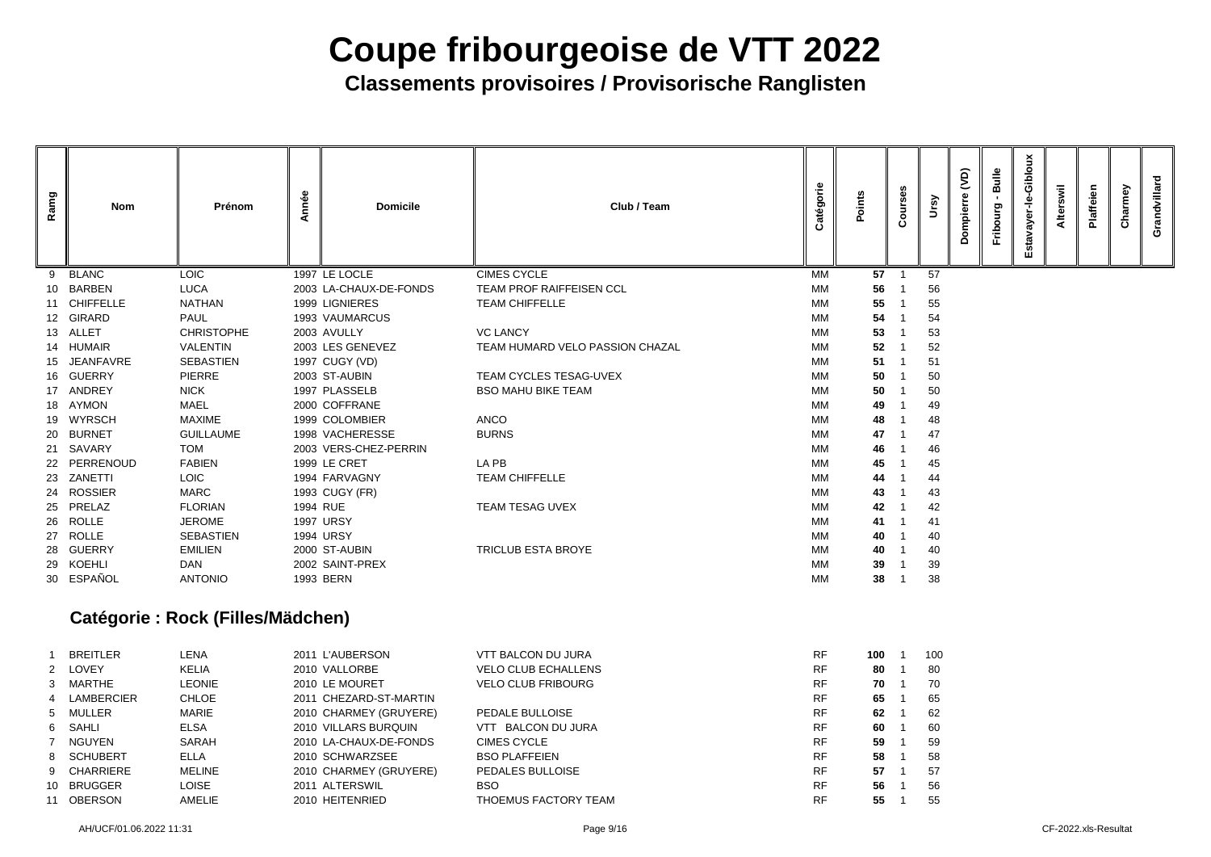**Classements provisoires / Provisorische Ranglisten**

| Ramg | <b>Nom</b>    | Prénom            | Année    | <b>Domicile</b>        | Club / Team                     | Catégorie | <b>Points</b> | Courses | Ursy | (dV)<br>ompierre<br>Ă | Bulle<br>$\blacksquare$<br>Fribourg | Estavayer-le-Gibloux | Alterswil | Plaffeien | Charmey | Grandvillard |
|------|---------------|-------------------|----------|------------------------|---------------------------------|-----------|---------------|---------|------|-----------------------|-------------------------------------|----------------------|-----------|-----------|---------|--------------|
| 9    | <b>BLANC</b>  | <b>LOIC</b>       |          | 1997 LE LOCLE          | <b>CIMES CYCLE</b>              | MM        | $57$ 1        |         | 57   |                       |                                     |                      |           |           |         |              |
|      | 10 BARBEN     | <b>LUCA</b>       |          | 2003 LA-CHAUX-DE-FONDS | <b>TEAM PROF RAIFFEISEN CCL</b> | МM        | 56            |         | 56   |                       |                                     |                      |           |           |         |              |
|      | 11 CHIFFELLE  | <b>NATHAN</b>     |          | 1999 LIGNIERES         | <b>TEAM CHIFFELLE</b>           | MM        | 55            |         | 55   |                       |                                     |                      |           |           |         |              |
|      | 12 GIRARD     | <b>PAUL</b>       |          | 1993 VAUMARCUS         |                                 | MM        | 54            |         | 54   |                       |                                     |                      |           |           |         |              |
|      | 13 ALLET      | <b>CHRISTOPHE</b> |          | 2003 AVULLY            | <b>VC LANCY</b>                 | МM        | 53            |         | 53   |                       |                                     |                      |           |           |         |              |
|      | 14 HUMAIR     | <b>VALENTIN</b>   |          | 2003 LES GENEVEZ       | TEAM HUMARD VELO PASSION CHAZAL | МM        | 52            |         | 52   |                       |                                     |                      |           |           |         |              |
|      | 15 JEANFAVRE  | <b>SEBASTIEN</b>  |          | 1997 CUGY (VD)         |                                 | MM        | 51            |         | 51   |                       |                                     |                      |           |           |         |              |
|      | 16 GUERRY     | <b>PIERRE</b>     |          | 2003 ST-AUBIN          | <b>TEAM CYCLES TESAG-UVEX</b>   | MM        | 50            |         | 50   |                       |                                     |                      |           |           |         |              |
|      | 17 ANDREY     | <b>NICK</b>       |          | 1997 PLASSELB          | <b>BSO MAHU BIKE TEAM</b>       | МM        | 50            |         | 50   |                       |                                     |                      |           |           |         |              |
|      | 18 AYMON      | <b>MAEL</b>       |          | 2000 COFFRANE          |                                 | MM        | 49            |         | 49   |                       |                                     |                      |           |           |         |              |
| 19   | <b>WYRSCH</b> | <b>MAXIME</b>     |          | 1999 COLOMBIER         | <b>ANCO</b>                     | MM        | 48            |         | 48   |                       |                                     |                      |           |           |         |              |
|      | 20 BURNET     | <b>GUILLAUME</b>  |          | 1998 VACHERESSE        | <b>BURNS</b>                    | МM        | 47            |         | 47   |                       |                                     |                      |           |           |         |              |
|      | 21 SAVARY     | <b>TOM</b>        |          | 2003 VERS-CHEZ-PERRIN  |                                 | МM        | 46            |         | 46   |                       |                                     |                      |           |           |         |              |
|      | 22 PERRENOUD  | <b>FABIEN</b>     |          | 1999 LE CRET           | LA PB                           | MM        | 45            |         | 45   |                       |                                     |                      |           |           |         |              |
| 23   | ZANETTI       | <b>LOIC</b>       |          | 1994 FARVAGNY          | <b>TEAM CHIFFELLE</b>           | MM        | 44            |         | 44   |                       |                                     |                      |           |           |         |              |
|      | 24 ROSSIER    | <b>MARC</b>       |          | 1993 CUGY (FR)         |                                 | МM        | 43            |         | 43   |                       |                                     |                      |           |           |         |              |
|      | 25 PRELAZ     | <b>FLORIAN</b>    | 1994 RUE |                        | TEAM TESAG UVEX                 | MM        | 42            |         | 42   |                       |                                     |                      |           |           |         |              |
|      | 26 ROLLE      | <b>JEROME</b>     |          | <b>1997 URSY</b>       |                                 | MM        | 41            |         | 41   |                       |                                     |                      |           |           |         |              |
|      | 27 ROLLE      | <b>SEBASTIEN</b>  |          | <b>1994 URSY</b>       |                                 | МM        | 40            |         | 40   |                       |                                     |                      |           |           |         |              |
|      | 28 GUERRY     | <b>EMILIEN</b>    |          | 2000 ST-AUBIN          | <b>TRICLUB ESTA BROYE</b>       | MM        | 40            |         | 40   |                       |                                     |                      |           |           |         |              |
|      | 29 KOEHLI     | <b>DAN</b>        |          | 2002 SAINT-PREX        |                                 | MM        | 39            |         | 39   |                       |                                     |                      |           |           |         |              |
|      | 30 ESPAÑOL    | <b>ANTONIO</b>    |          | 1993 BERN              |                                 | МM        | 38            |         | 38   |                       |                                     |                      |           |           |         |              |
|      |               |                   |          |                        |                                 |           |               |         |      |                       |                                     |                      |           |           |         |              |

### **Catégorie : Rock (Filles/Mädchen)**

|    | <b>BREITLER</b> | LENA          | 2011 L'AUBERSON        | <b>VTT BALCON DU JURA</b>  | <b>RF</b> | 100 | 10 <sub>C</sub> |
|----|-----------------|---------------|------------------------|----------------------------|-----------|-----|-----------------|
|    | 2 LOVEY         | <b>KELIA</b>  | 2010 VALLORBE          | <b>VELO CLUB ECHALLENS</b> | <b>RF</b> | 80  | 80              |
|    | 3 MARTHE        | LEONIE        | 2010 LE MOURET         | <b>VELO CLUB FRIBOURG</b>  | <b>RF</b> | 70  | 70              |
|    | 4 LAMBERCIER    | <b>CHLOE</b>  | 2011 CHEZARD-ST-MARTIN |                            | <b>RF</b> | 65  | 65              |
|    | 5 MULLER        | <b>MARIE</b>  | 2010 CHARMEY (GRUYERE) | PEDALE BULLOISE            | <b>RF</b> | 62  | 62              |
|    | 6 SAHLI         | <b>ELSA</b>   | 2010 VILLARS BURQUIN   | BALCON DU JURA<br>VTT      | <b>RF</b> | 60  | 60              |
|    | 7 NGUYEN        | SARAH         | 2010 LA-CHAUX-DE-FONDS | <b>CIMES CYCLE</b>         | <b>RF</b> | 59  | 59              |
|    | 8 SCHUBERT      | ELLA          | 2010 SCHWARZSEE        | <b>BSO PLAFFEIEN</b>       | <b>RF</b> | 58  | 58              |
|    | 9 CHARRIERE     | <b>MELINE</b> | 2010 CHARMEY (GRUYERE) | PEDALES BULLOISE           | <b>RF</b> | 57  | 57              |
| 10 | <b>BRUGGER</b>  | <b>LOISE</b>  | 2011 ALTERSWIL         | <b>BSO</b>                 | <b>RF</b> | 56  | 56              |
| 11 | <b>OBERSON</b>  | AMELIE        | 2010 HEITENRIED        | THOEMUS FACTORY TEAM       | <b>RF</b> | 55  | 55              |

| 100 | 1 | 100 |
|-----|---|-----|
| 80  | 1 | 80  |
| 70  | 1 | 70  |
| 65  | 1 | 65  |
| 62  | 1 | 62  |
| 60  | 1 | 60  |
| 59  | 1 | 59  |
| 58  | 1 | 58  |
| 57  | 1 | 57  |
| 56  | 1 | 56  |
| 55  | 1 | 55  |
|     |   |     |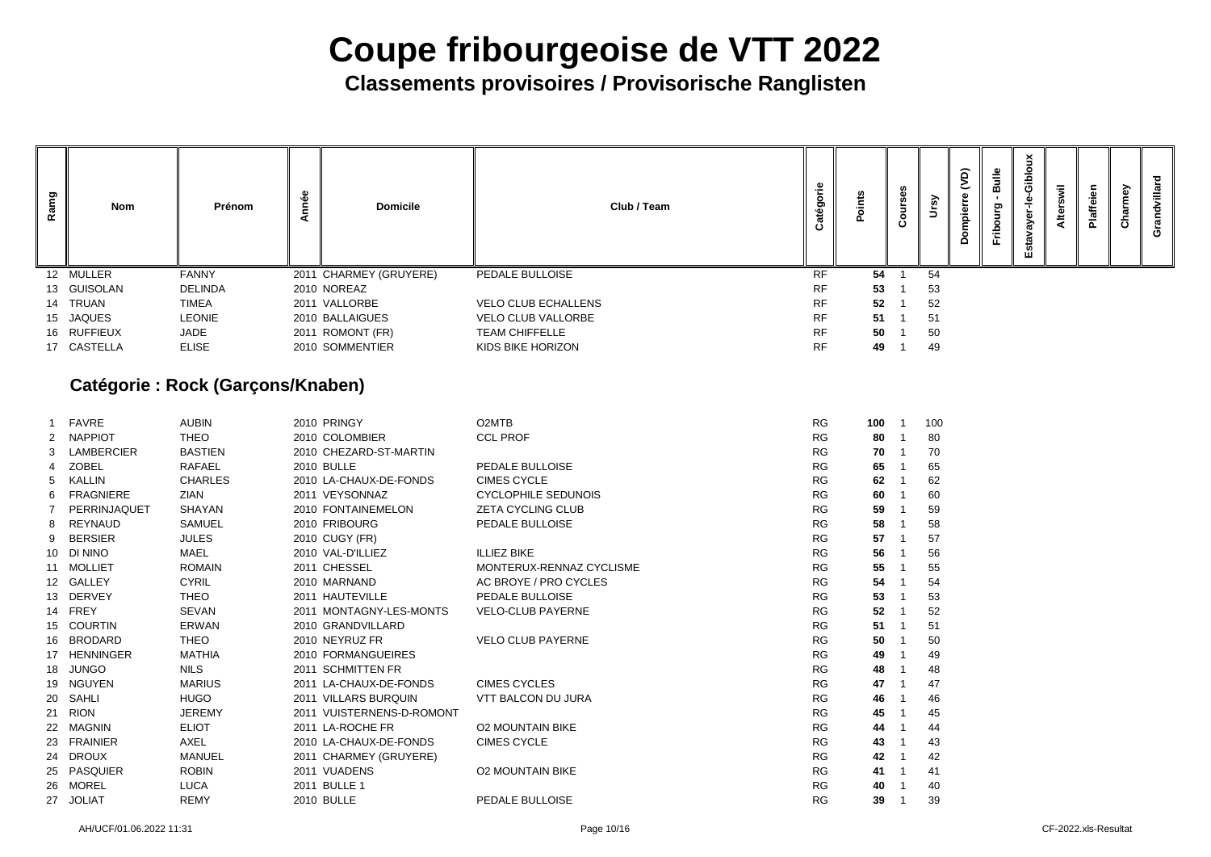**Classements provisoires / Provisorische Ranglisten**

| Ρg | <b>Nom</b>  | Prénom         | Φ<br>۰Φ | <b>Domicile</b>        | Club / Team                | .உ<br>Ō<br>⊷ |    | ↗  | ô<br>Φ<br>$\mathbf{\omega}$<br>idui.<br>$\circ$<br>$\Omega$ | $\frac{1}{2}$<br>ರಾ<br>≘<br>岀 | <u>ۃ</u> | $=$<br>L€ | Φ<br>Φ<br><u>_ო</u><br>$\Omega$ | බ<br>ω<br>ō | O |
|----|-------------|----------------|---------|------------------------|----------------------------|--------------|----|----|-------------------------------------------------------------|-------------------------------|----------|-----------|---------------------------------|-------------|---|
|    | 12 MULLER   | <b>FANNY</b>   |         | 2011 CHARMEY (GRUYERE) | PEDALE BULLOISE            | <b>RF</b>    | 54 | 54 |                                                             |                               |          |           |                                 |             |   |
|    | 13 GUISOLAN | <b>DELINDA</b> |         | 2010 NOREAZ            |                            | <b>RF</b>    | 53 | 53 |                                                             |                               |          |           |                                 |             |   |
|    | 14 TRUAN    | <b>TIMEA</b>   |         | 2011 VALLORBE          | <b>VELO CLUB ECHALLENS</b> | <b>RF</b>    | 52 | 52 |                                                             |                               |          |           |                                 |             |   |
|    | 15 JAQUES   | <b>LEONIE</b>  |         | 2010 BALLAIGUES        | <b>VELO CLUB VALLORBE</b>  | RF           | 51 | 51 |                                                             |                               |          |           |                                 |             |   |
|    | 16 RUFFIEUX | <b>JADE</b>    |         | 2011 ROMONT (FR)       | <b>TEAM CHIFFELLE</b>      | <b>RF</b>    | 50 | 50 |                                                             |                               |          |           |                                 |             |   |
|    | 17 CASTELLA | <b>ELISE</b>   |         | 2010 SOMMENTIER        | KIDS BIKE HORIZON          | <b>RF</b>    | 49 | 49 |                                                             |                               |          |           |                                 |             |   |

### **Catégorie : Rock (Garçons/Knaben)**

|                       | <b>FAVRE</b>      | <b>AUBIN</b>   | 2010 PRINGY               | O <sub>2</sub> MTB         | <b>RG</b> | 100 | 1 | 10 <sub>C</sub> |
|-----------------------|-------------------|----------------|---------------------------|----------------------------|-----------|-----|---|-----------------|
| $\mathbf{2}^{\prime}$ | <b>NAPPIOT</b>    | <b>THEO</b>    | 2010 COLOMBIER            | <b>CCL PROF</b>            | <b>RG</b> | 80  |   | 80              |
| 3                     | <b>LAMBERCIER</b> | <b>BASTIEN</b> | 2010 CHEZARD-ST-MARTIN    |                            | <b>RG</b> | 70  |   | 70              |
| 4                     | <b>ZOBEL</b>      | <b>RAFAEL</b>  | <b>2010 BULLE</b>         | <b>PEDALE BULLOISE</b>     | <b>RG</b> | 65  |   | 65              |
| 5                     | <b>KALLIN</b>     | <b>CHARLES</b> | 2010 LA-CHAUX-DE-FONDS    | <b>CIMES CYCLE</b>         | <b>RG</b> | 62  |   | 62              |
| 6                     | <b>FRAGNIERE</b>  | <b>ZIAN</b>    | 2011 VEYSONNAZ            | <b>CYCLOPHILE SEDUNOIS</b> | <b>RG</b> | 60  |   | 60              |
| 7                     | PERRINJAQUET      | <b>SHAYAN</b>  | 2010 FONTAINEMELON        | <b>ZETA CYCLING CLUB</b>   | <b>RG</b> | 59  |   | 59              |
| 8                     | <b>REYNAUD</b>    | <b>SAMUEL</b>  | 2010 FRIBOURG             | PEDALE BULLOISE            | <b>RG</b> | 58  |   | 58              |
| 9                     | <b>BERSIER</b>    | <b>JULES</b>   | 2010 CUGY (FR)            |                            | <b>RG</b> | 57  |   | 57              |
| 10                    | <b>DI NINO</b>    | <b>MAEL</b>    | 2010 VAL-D'ILLIEZ         | <b>ILLIEZ BIKE</b>         | <b>RG</b> | 56  |   | 56              |
| 11                    | <b>MOLLIET</b>    | <b>ROMAIN</b>  | 2011 CHESSEL              | MONTERUX-RENNAZ CYCLISME   | <b>RG</b> | 55  |   | 55              |
| 12 <sup>°</sup>       | <b>GALLEY</b>     | <b>CYRIL</b>   | 2010 MARNAND              | AC BROYE / PRO CYCLES      | <b>RG</b> | 54  |   | 54              |
| 13                    | <b>DERVEY</b>     | <b>THEO</b>    | 2011 HAUTEVILLE           | PEDALE BULLOISE            | <b>RG</b> | 53  |   | 53              |
| 14                    | <b>FREY</b>       | <b>SEVAN</b>   | 2011 MONTAGNY-LES-MONTS   | <b>VELO-CLUB PAYERNE</b>   | <b>RG</b> | 52  |   | 52              |
| 15                    | <b>COURTIN</b>    | <b>ERWAN</b>   | 2010 GRANDVILLARD         |                            | <b>RG</b> | 51  |   | 51              |
| 16                    | <b>BRODARD</b>    | <b>THEO</b>    | 2010 NEYRUZ FR            | <b>VELO CLUB PAYERNE</b>   | <b>RG</b> | 50  |   | 50              |
| 17                    | <b>HENNINGER</b>  | <b>MATHIA</b>  | 2010 FORMANGUEIRES        |                            | <b>RG</b> | 49  |   | 49              |
| 18                    | <b>JUNGO</b>      | <b>NILS</b>    | 2011 SCHMITTEN FR         |                            | <b>RG</b> | 48  |   | 48              |
| 19                    | <b>NGUYEN</b>     | <b>MARIUS</b>  | 2011 LA-CHAUX-DE-FONDS    | <b>CIMES CYCLES</b>        | <b>RG</b> | 47  |   | 47              |
| 20                    | <b>SAHLI</b>      | <b>HUGO</b>    | 2011 VILLARS BURQUIN      | <b>VTT BALCON DU JURA</b>  | <b>RG</b> | 46  |   | 46              |
| 21                    | <b>RION</b>       | <b>JEREMY</b>  | 2011 VUISTERNENS-D-ROMONT |                            | <b>RG</b> | 45  |   | 45              |
| 22                    | <b>MAGNIN</b>     | <b>ELIOT</b>   | 2011 LA-ROCHE FR          | <b>O2 MOUNTAIN BIKE</b>    | <b>RG</b> | 44  |   | 44              |
| 23                    | <b>FRAINIER</b>   | <b>AXEL</b>    | 2010 LA-CHAUX-DE-FONDS    | <b>CIMES CYCLE</b>         | <b>RG</b> | 43  |   | 43              |
| 24                    | <b>DROUX</b>      | <b>MANUEL</b>  | 2011 CHARMEY (GRUYERE)    |                            | <b>RG</b> | 42  |   | 42              |
| 25                    | <b>PASQUIER</b>   | <b>ROBIN</b>   | 2011 VUADENS              | <b>O2 MOUNTAIN BIKE</b>    | <b>RG</b> | 41  |   | 41              |
| 26                    | <b>MOREL</b>      | <b>LUCA</b>    | 2011 BULLE 1              |                            | <b>RG</b> | 40  |   | 40              |
| 27                    | <b>JOLIAT</b>     | <b>REMY</b>    | <b>2010 BULLE</b>         | PEDALE BULLOISE            | <b>RG</b> | 39  |   | 39              |
|                       |                   |                |                           |                            |           |     |   |                 |

| 100 | 1 | 100 |
|-----|---|-----|
| 80  | 1 | 80  |
| 70  | 1 | 70  |
| 65  | 1 | 65  |
| 62  | 1 | 62  |
| 60  | 1 | 60  |
| 59  | 1 | 59  |
| 58  | 1 | 58  |
| 57  | 1 | 57  |
| 56  | 1 | 56  |
| 55  | 1 | 55  |
| 54  | 1 | 54  |
| 53  | 1 | 53  |
| 52  | 1 | 52  |
| 51  | 1 | 51  |
| 50  | 1 | 50  |
| 49  | 1 | 49  |
| 48  | 1 | 48  |
| 47  | 1 | 47  |
| 46  | 1 | 46  |
| 45  | 1 | 45  |
| 44  | 1 | 44  |
| 43  | 1 | 43  |
| 42  | 1 | 42  |
| 41  | 1 | 41  |
| 40  | 1 | 40  |
| 39  | 1 | 39  |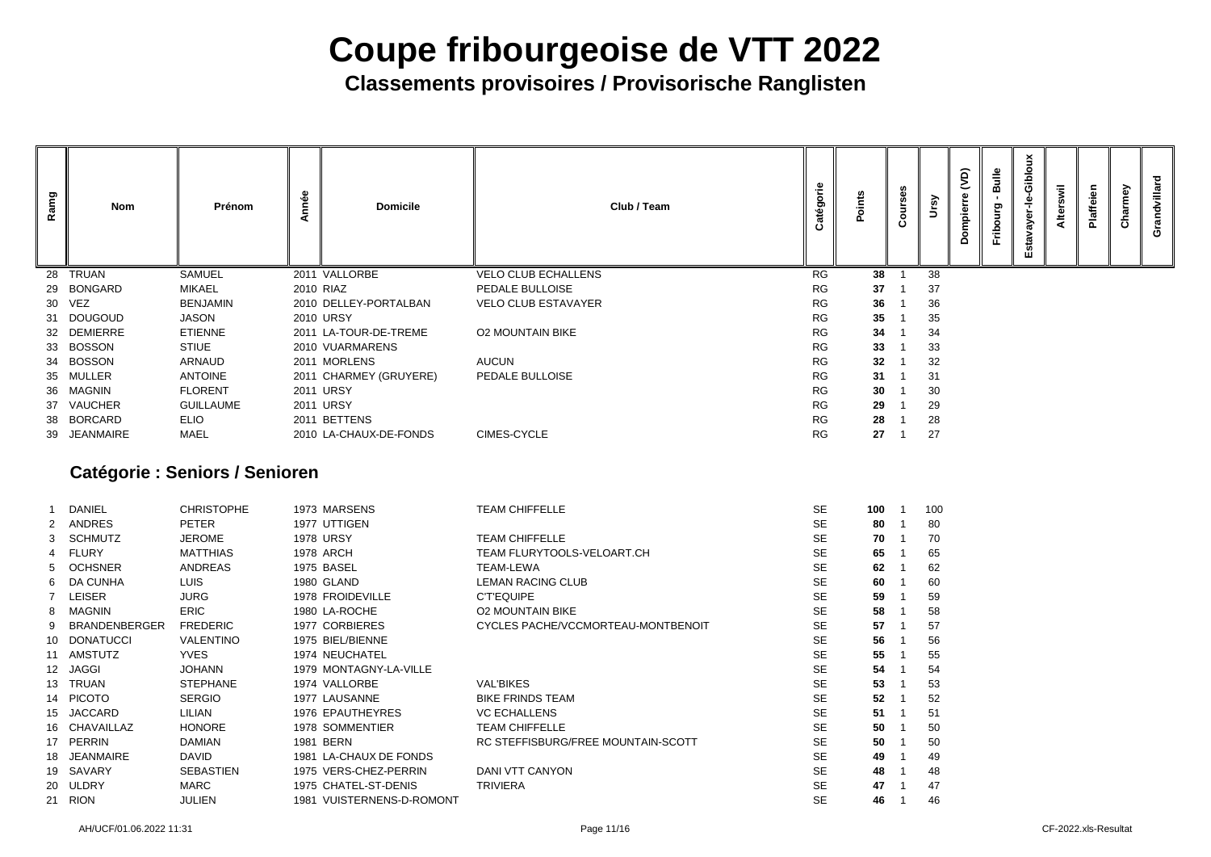**Classements provisoires / Provisorische Ranglisten**

| Ramg | <b>Nom</b>                       | Prénom           | nnée | <b>Domicile</b>        | Club / Team                | égor      | Points          | $\circ$<br>$\mathbf c$ | $\mathbf{S}$ | $\widehat{\mathsf{d}}$<br>mpier<br>o | <b>Bulle</b><br>Fribourg | ciblou<br>؋<br>ត<br>δŠ<br>ឆ្ន<br><b>SC</b><br>ш | swil<br>Alter | Plaffeien | Charmey | Grandvillard |
|------|----------------------------------|------------------|------|------------------------|----------------------------|-----------|-----------------|------------------------|--------------|--------------------------------------|--------------------------|-------------------------------------------------|---------------|-----------|---------|--------------|
|      | 28 TRUAN                         | <b>SAMUEL</b>    |      | 2011 VALLORBE          | <b>VELO CLUB ECHALLENS</b> | <b>RG</b> | 38              |                        | 38           |                                      |                          |                                                 |               |           |         |              |
|      | 29 BONGARD                       | MIKAEL           |      | 2010 RIAZ              | PEDALE BULLOISE            | <b>RG</b> | 37              |                        | 37           |                                      |                          |                                                 |               |           |         |              |
|      | 30 VEZ                           | <b>BENJAMIN</b>  |      | 2010 DELLEY-PORTALBAN  | <b>VELO CLUB ESTAVAYER</b> | <b>RG</b> | 36              |                        | 36           |                                      |                          |                                                 |               |           |         |              |
|      | 31 DOUGOUD                       | <b>JASON</b>     |      | <b>2010 URSY</b>       |                            | <b>RG</b> | 35              |                        | 35           |                                      |                          |                                                 |               |           |         |              |
|      | 32 DEMIERRE                      | <b>ETIENNE</b>   |      | 2011 LA-TOUR-DE-TREME  | <b>O2 MOUNTAIN BIKE</b>    | <b>RG</b> | 34              |                        | 34           |                                      |                          |                                                 |               |           |         |              |
|      | 33 BOSSON                        | <b>STIUE</b>     |      | 2010 VUARMARENS        |                            | <b>RG</b> | 33              |                        | 33           |                                      |                          |                                                 |               |           |         |              |
|      | 34 BOSSON                        | ARNAUD           |      | 2011 MORLENS           | <b>AUCUN</b>               | <b>RG</b> | 32 <sub>2</sub> |                        | 32           |                                      |                          |                                                 |               |           |         |              |
|      | 35 MULLER                        | <b>ANTOINE</b>   |      | 2011 CHARMEY (GRUYERE) | PEDALE BULLOISE            | <b>RG</b> | 31              |                        | 31           |                                      |                          |                                                 |               |           |         |              |
|      | 36 MAGNIN                        | <b>FLORENT</b>   |      | 2011 URSY              |                            | <b>RG</b> | 30              |                        | 30           |                                      |                          |                                                 |               |           |         |              |
|      | 37 VAUCHER                       | <b>GUILLAUME</b> |      | 2011 URSY              |                            | <b>RG</b> | 29              |                        | 29           |                                      |                          |                                                 |               |           |         |              |
|      | 38 BORCARD                       | <b>ELIO</b>      |      | 2011 BETTENS           |                            | <b>RG</b> | 28              |                        | 28           |                                      |                          |                                                 |               |           |         |              |
|      | 39 JEANMAIRE                     | MAEL             |      | 2010 LA-CHAUX-DE-FONDS | CIMES-CYCLE                | <b>RG</b> | 27              |                        | 27           |                                      |                          |                                                 |               |           |         |              |
|      | Cottonario - Contona I Contonare |                  |      |                        |                            |           |                 |                        |              |                                      |                          |                                                 |               |           |         |              |

### **Catégorie : Seniors / Senioren**

|                 | <b>DANIEL</b>        | <b>CHRISTOPHE</b> | 1973 MARSENS              | <b>TEAM CHIFFELLE</b>              | <b>SE</b> | 100 | 10 <sub>C</sub> |
|-----------------|----------------------|-------------------|---------------------------|------------------------------------|-----------|-----|-----------------|
| 2               | <b>ANDRES</b>        | <b>PETER</b>      | 1977 UTTIGEN              |                                    | <b>SE</b> | 80  | -80             |
| 3               | SCHMUTZ              | <b>JEROME</b>     | <b>1978 URSY</b>          | <b>TEAM CHIFFELLE</b>              | <b>SE</b> | 70  | 70              |
| 4               | <b>FLURY</b>         | <b>MATTHIAS</b>   | <b>1978 ARCH</b>          | TEAM FLURYTOOLS-VELOART.CH         | <b>SE</b> | 65  | 65              |
| 5.              | <b>OCHSNER</b>       | <b>ANDREAS</b>    | 1975 BASEL                | <b>TEAM-LEWA</b>                   | <b>SE</b> | 62  | 62              |
| 6.              | <b>DA CUNHA</b>      | <b>LUIS</b>       | 1980 GLAND                | <b>LEMAN RACING CLUB</b>           | <b>SE</b> | 60  | 60              |
|                 | <b>LEISER</b>        | <b>JURG</b>       | 1978 FROIDEVILLE          | <b>C'T'EQUIPE</b>                  | <b>SE</b> | 59  | 59              |
| 8               | <b>MAGNIN</b>        | <b>ERIC</b>       | 1980 LA-ROCHE             | <b>O2 MOUNTAIN BIKE</b>            | <b>SE</b> | 58  | 58              |
| 9               | <b>BRANDENBERGER</b> | <b>FREDERIC</b>   | 1977 CORBIERES            | CYCLES PACHE/VCCMORTEAU-MONTBENOIT | <b>SE</b> | 57  | 57              |
| 10              | <b>DONATUCCI</b>     | <b>VALENTINO</b>  | 1975 BIEL/BIENNE          |                                    | <b>SE</b> | 56  | 56              |
| 11              | AMSTUTZ              | <b>YVES</b>       | 1974 NEUCHATEL            |                                    | <b>SE</b> | 55  | 55              |
|                 | 12 JAGGI             | <b>JOHANN</b>     | 1979 MONTAGNY-LA-VILLE    |                                    | <b>SE</b> | 54  | 54              |
| 13              | <b>TRUAN</b>         | <b>STEPHANE</b>   | 1974 VALLORBE             | <b>VAL'BIKES</b>                   | <b>SE</b> | 53  | 53              |
|                 | 14 PICOTO            | <b>SERGIO</b>     | 1977 LAUSANNE             | <b>BIKE FRINDS TEAM</b>            | <b>SE</b> | 52  | 52              |
| 15 <sub>1</sub> | <b>JACCARD</b>       | <b>LILIAN</b>     | <b>1976 EPAUTHEYRES</b>   | <b>VC ECHALLENS</b>                | <b>SE</b> | 51  | 51              |
| 16              | <b>CHAVAILLAZ</b>    | <b>HONORE</b>     | 1978 SOMMENTIER           | <b>TEAM CHIFFELLE</b>              | <b>SE</b> | 50  | 50              |
| 17              | <b>PERRIN</b>        | <b>DAMIAN</b>     | 1981 BERN                 | RC STEFFISBURG/FREE MOUNTAIN-SCOTT | <b>SE</b> | 50  | 50              |
| 18              | <b>JEANMAIRE</b>     | <b>DAVID</b>      | 1981 LA-CHAUX DE FONDS    |                                    | <b>SE</b> | 49  | 49              |
| 19              | SAVARY               | <b>SEBASTIEN</b>  | 1975 VERS-CHEZ-PERRIN     | <b>DANI VTT CANYON</b>             | <b>SE</b> | 48  | 48              |
| 20              | <b>ULDRY</b>         | <b>MARC</b>       | 1975 CHATEL-ST-DENIS      | <b>TRIVIERA</b>                    | <b>SE</b> | 47  | 47              |
| 21              | <b>RION</b>          | <b>JULIEN</b>     | 1981 VUISTERNENS-D-ROMONT |                                    | <b>SE</b> | 46  | 46              |
|                 |                      |                   |                           |                                    |           |     |                 |

| 100 | 1 | 100 |
|-----|---|-----|
| 80  | 1 | 80  |
| 70  | 1 | 70  |
| 65  | 1 | 65  |
| 62  | 1 | 62  |
| 60  | 1 | 60  |
| 59  | 1 | 59  |
| 58  | 1 | 58  |
| 57  | 1 | 57  |
| 56  | 1 | 56  |
| 55  | 1 | 55  |
| 54  | 1 | 54  |
| 53  | 1 | 53  |
| 52  | 1 | 52  |
| 51  | 1 | 51  |
| 50  | 1 | 50  |
| 50  | 1 | 50  |
| 49  | 1 | 49  |
| 48  | 1 | 48  |
| 47  | 1 | 47  |
| 46  | 1 | 46  |
|     |   |     |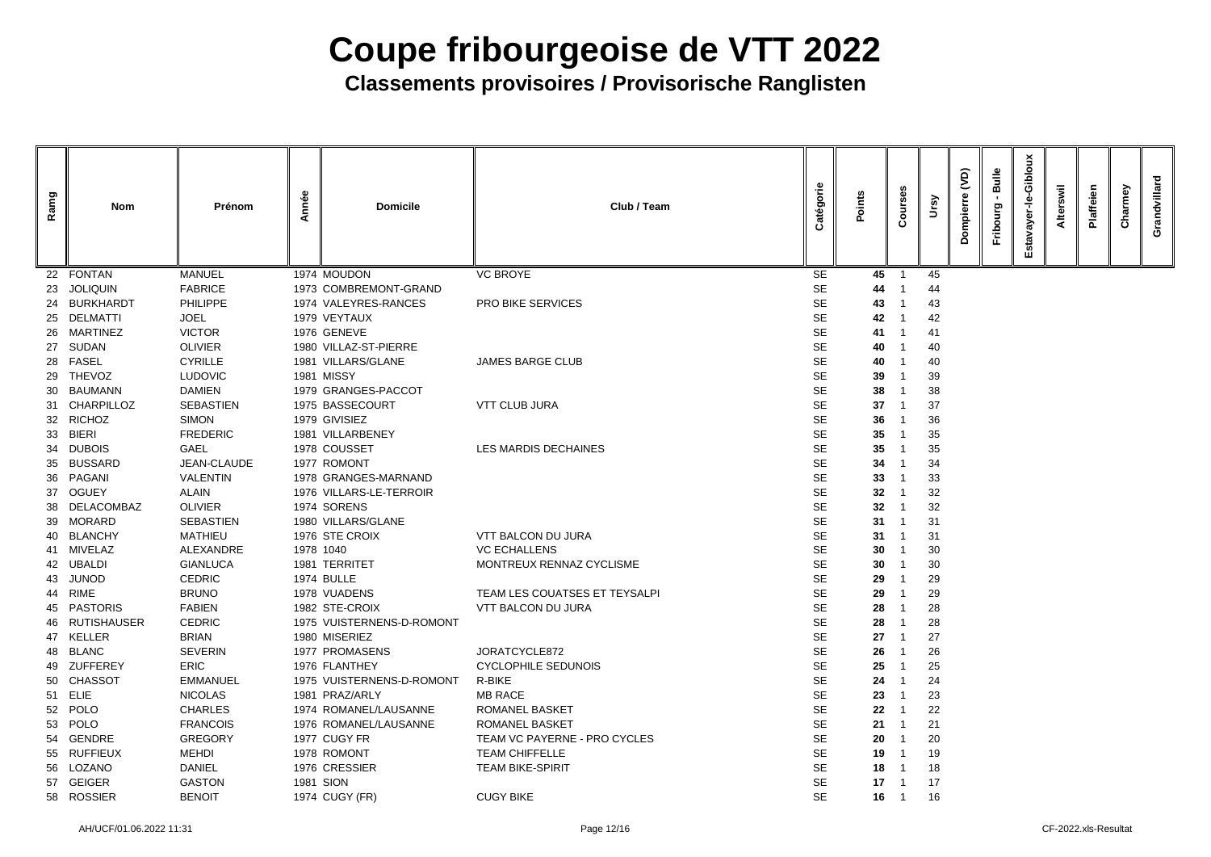| Ramg | <b>Nom</b>       | Prénom           | Année | <b>Domicile</b>           | Club / Team                   | atégorie  | Points          | $\circ$<br>ပ | ଟି | <b>QV</b> | Bulle<br>Fribourg | Gibloux<br>Φ<br>ے<br>ق<br>Esta | swil<br><b>Alter</b> | laffeien | Charmey | Grandvillard |
|------|------------------|------------------|-------|---------------------------|-------------------------------|-----------|-----------------|--------------|----|-----------|-------------------|--------------------------------|----------------------|----------|---------|--------------|
| 22   | <b>FONTAN</b>    | <b>MANUEL</b>    |       | 1974 MOUDON               | <b>VC BROYE</b>               | <b>SE</b> | 45              |              | 45 |           |                   |                                |                      |          |         |              |
| 23   | <b>JOLIQUIN</b>  | <b>FABRICE</b>   |       | 1973 COMBREMONT-GRAND     |                               | <b>SE</b> | 44              |              | 44 |           |                   |                                |                      |          |         |              |
| 24   | <b>BURKHARDT</b> | <b>PHILIPPE</b>  |       | 1974 VALEYRES-RANCES      | <b>PRO BIKE SERVICES</b>      | <b>SE</b> | 43              |              | 43 |           |                   |                                |                      |          |         |              |
| 25   | <b>DELMATTI</b>  | <b>JOEL</b>      |       | 1979 VEYTAUX              |                               | <b>SE</b> | 42              |              | 42 |           |                   |                                |                      |          |         |              |
| 26   | MARTINEZ         | <b>VICTOR</b>    |       | 1976 GENEVE               |                               | <b>SE</b> | 41              |              | 41 |           |                   |                                |                      |          |         |              |
| 27   | SUDAN            | <b>OLIVIER</b>   |       | 1980 VILLAZ-ST-PIERRE     |                               | <b>SE</b> | 40              |              | 40 |           |                   |                                |                      |          |         |              |
| 28   | <b>FASEL</b>     | <b>CYRILLE</b>   |       | 1981 VILLARS/GLANE        | <b>JAMES BARGE CLUB</b>       | <b>SE</b> | 40              |              | 40 |           |                   |                                |                      |          |         |              |
| 29   | <b>THEVOZ</b>    | <b>LUDOVIC</b>   |       | <b>1981 MISSY</b>         |                               | <b>SE</b> | 39              |              | 39 |           |                   |                                |                      |          |         |              |
| 30   | BAUMANN          | <b>DAMIEN</b>    |       | 1979 GRANGES-PACCOT       |                               | <b>SE</b> | 38              |              | 38 |           |                   |                                |                      |          |         |              |
|      | 31 CHARPILLOZ    | <b>SEBASTIEN</b> |       | 1975 BASSECOURT           | <b>VTT CLUB JURA</b>          | <b>SE</b> | 37              |              | 37 |           |                   |                                |                      |          |         |              |
| 32   | <b>RICHOZ</b>    | <b>SIMON</b>     |       | 1979 GIVISIEZ             |                               | <b>SE</b> | 36              |              | 36 |           |                   |                                |                      |          |         |              |
| 33   | <b>BIERI</b>     | <b>FREDERIC</b>  |       | 1981 VILLARBENEY          |                               | <b>SE</b> | 35              |              | 35 |           |                   |                                |                      |          |         |              |
| 34   | <b>DUBOIS</b>    | <b>GAEL</b>      |       | 1978 COUSSET              | LES MARDIS DECHAINES          | <b>SE</b> | 35              |              | 35 |           |                   |                                |                      |          |         |              |
| 35   | <b>BUSSARD</b>   | JEAN-CLAUDE      |       | 1977 ROMONT               |                               | <b>SE</b> | 34              |              | 34 |           |                   |                                |                      |          |         |              |
| 36   | PAGANI           | <b>VALENTIN</b>  |       | 1978 GRANGES-MARNAND      |                               | <b>SE</b> | 33              |              | 33 |           |                   |                                |                      |          |         |              |
| 37   | <b>OGUEY</b>     | <b>ALAIN</b>     |       | 1976 VILLARS-LE-TERROIR   |                               | <b>SE</b> | 32 <sub>2</sub> |              | 32 |           |                   |                                |                      |          |         |              |
| 38   | DELACOMBAZ       | <b>OLIVIER</b>   |       | 1974 SORENS               |                               | <b>SE</b> | 32              |              | 32 |           |                   |                                |                      |          |         |              |
| 39   | <b>MORARD</b>    | <b>SEBASTIEN</b> |       | 1980 VILLARS/GLANE        |                               | <b>SE</b> | 31              |              | 31 |           |                   |                                |                      |          |         |              |
| 40   | <b>BLANCHY</b>   | <b>MATHIEU</b>   |       | 1976 STE CROIX            | <b>VTT BALCON DU JURA</b>     | <b>SE</b> | 31              |              | 31 |           |                   |                                |                      |          |         |              |
| 41   | MIVELAZ          | ALEXANDRE        |       | 1978 1040                 | <b>VC ECHALLENS</b>           | <b>SE</b> | 30              |              | 30 |           |                   |                                |                      |          |         |              |
|      | 42 UBALDI        | <b>GIANLUCA</b>  |       | 1981 TERRITET             | MONTREUX RENNAZ CYCLISME      | <b>SE</b> | 30              |              | 30 |           |                   |                                |                      |          |         |              |
| 43   | <b>JUNOD</b>     | CEDRIC           |       | <b>1974 BULLE</b>         |                               | <b>SE</b> | 29              |              | 29 |           |                   |                                |                      |          |         |              |
|      | 44 RIME          | <b>BRUNO</b>     |       | 1978 VUADENS              | TEAM LES COUATSES ET TEYSALPI | <b>SE</b> | 29              |              | 29 |           |                   |                                |                      |          |         |              |
|      | 45 PASTORIS      | <b>FABIEN</b>    |       | 1982 STE-CROIX            | VTT BALCON DU JURA            | <b>SE</b> | 28              |              | 28 |           |                   |                                |                      |          |         |              |
|      | 46 RUTISHAUSER   | <b>CEDRIC</b>    |       | 1975 VUISTERNENS-D-ROMONT |                               | <b>SE</b> | 28              |              | 28 |           |                   |                                |                      |          |         |              |
|      | 47 KELLER        | <b>BRIAN</b>     |       | 1980 MISERIEZ             |                               | <b>SE</b> | 27              |              | 27 |           |                   |                                |                      |          |         |              |
| 48   | <b>BLANC</b>     | <b>SEVERIN</b>   |       | 1977 PROMASENS            | JORATCYCLE872                 | <b>SE</b> | 26              |              | 26 |           |                   |                                |                      |          |         |              |
|      | 49 ZUFFEREY      | <b>ERIC</b>      |       | 1976 FLANTHEY             | <b>CYCLOPHILE SEDUNOIS</b>    | <b>SE</b> | 25              |              | 25 |           |                   |                                |                      |          |         |              |
|      | 50 CHASSOT       | <b>EMMANUEL</b>  |       | 1975 VUISTERNENS-D-ROMONT | R-BIKE                        | <b>SE</b> | 24              |              | 24 |           |                   |                                |                      |          |         |              |
|      | 51 ELIE          | <b>NICOLAS</b>   |       | 1981 PRAZ/ARLY            | <b>MB RACE</b>                | <b>SE</b> | 23              |              | 23 |           |                   |                                |                      |          |         |              |
|      | 52 POLO          | <b>CHARLES</b>   |       | 1974 ROMANEL/LAUSANNE     | <b>ROMANEL BASKET</b>         | <b>SE</b> | 22              |              | 22 |           |                   |                                |                      |          |         |              |
|      | 53 POLO          | <b>FRANCOIS</b>  |       | 1976 ROMANEL/LAUSANNE     | <b>ROMANEL BASKET</b>         | <b>SE</b> | 21              |              | 21 |           |                   |                                |                      |          |         |              |
|      | 54 GENDRE        | <b>GREGORY</b>   |       | 1977 CUGY FR              | TEAM VC PAYERNE - PRO CYCLES  | <b>SE</b> | 20              |              | 20 |           |                   |                                |                      |          |         |              |
|      | 55 RUFFIEUX      | <b>MEHDI</b>     |       | 1978 ROMONT               | <b>TEAM CHIFFELLE</b>         | <b>SE</b> | 19              |              | 19 |           |                   |                                |                      |          |         |              |
|      | 56 LOZANO        | <b>DANIEL</b>    |       | 1976 CRESSIER             | <b>TEAM BIKE-SPIRIT</b>       | <b>SE</b> | 18              |              | 18 |           |                   |                                |                      |          |         |              |
|      | 57 GEIGER        | <b>GASTON</b>    |       | 1981 SION                 |                               | <b>SE</b> | 17              |              | 17 |           |                   |                                |                      |          |         |              |
|      | 58 ROSSIER       | <b>BENOIT</b>    |       | 1974 CUGY (FR)            | <b>CUGY BIKE</b>              | <b>SE</b> | 16              | - 1          | 16 |           |                   |                                |                      |          |         |              |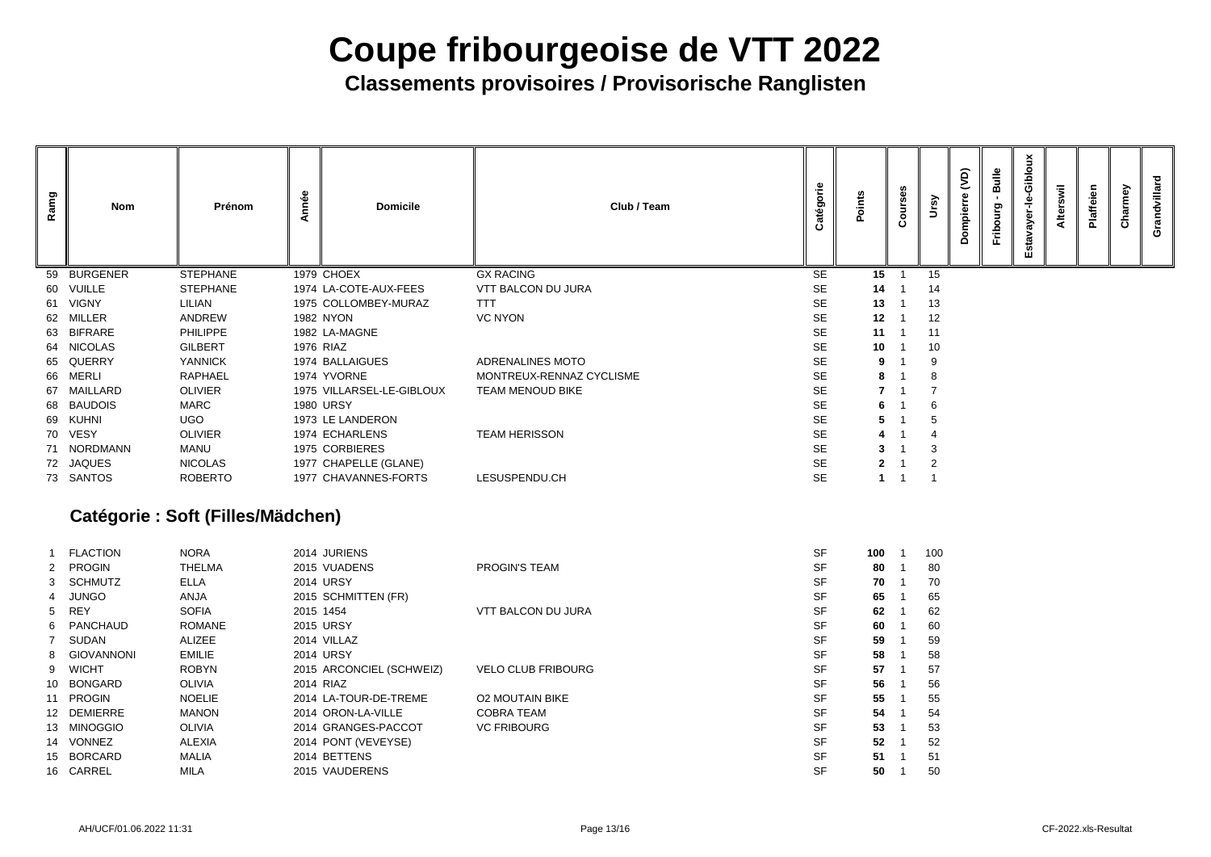**Classements provisoires / Provisorische Ranglisten**

| Ramg | Nom             | Prénom          | Année | <b>Domicile</b>           | Club / Team              | atégorie  | Points | ø,<br>bur<br>$\mathbf c$ | rsy             | (dv)<br>ompierr | <b>Bulle</b><br>Fribourg | Giblou<br>$\frac{\dot{\mathbf{p}}}{\mathbf{r}}$<br>$\overline{\mathbf{a}}$<br>Šξ<br>stav<br>ш | swil<br>Alter | Plaffeien | Charmey | Grandvillard |
|------|-----------------|-----------------|-------|---------------------------|--------------------------|-----------|--------|--------------------------|-----------------|-----------------|--------------------------|-----------------------------------------------------------------------------------------------|---------------|-----------|---------|--------------|
| 59   | <b>BURGENER</b> | <b>STEPHANE</b> |       | 1979 CHOEX                | <b>GX RACING</b>         | <b>SE</b> | 15     |                          | 15              |                 |                          |                                                                                               |               |           |         |              |
|      | 60 VUILLE       | <b>STEPHANE</b> |       | 1974 LA-COTE-AUX-FEES     | VTT BALCON DU JURA       | <b>SE</b> | 14     |                          | 14              |                 |                          |                                                                                               |               |           |         |              |
|      | 61 VIGNY        | <b>LILIAN</b>   |       | 1975 COLLOMBEY-MURAZ      | <b>TTT</b>               | <b>SE</b> | 13     |                          | 13              |                 |                          |                                                                                               |               |           |         |              |
|      | 62 MILLER       | ANDREW          |       | <b>1982 NYON</b>          | <b>VC NYON</b>           | <b>SE</b> | 12     |                          | 12              |                 |                          |                                                                                               |               |           |         |              |
|      | 63 BIFRARE      | <b>PHILIPPE</b> |       | 1982 LA-MAGNE             |                          | <b>SE</b> | 11     |                          | 11              |                 |                          |                                                                                               |               |           |         |              |
|      | 64 NICOLAS      | <b>GILBERT</b>  |       | 1976 RIAZ                 |                          | <b>SE</b> | 10     |                          | 10 <sup>°</sup> |                 |                          |                                                                                               |               |           |         |              |
|      | 65 QUERRY       | <b>YANNICK</b>  |       | 1974 BALLAIGUES           | ADRENALINES MOTO         | <b>SE</b> | 9      |                          |                 |                 |                          |                                                                                               |               |           |         |              |
|      | 66 MERLI        | <b>RAPHAEL</b>  |       | 1974 YVORNE               | MONTREUX-RENNAZ CYCLISME | <b>SE</b> |        |                          |                 |                 |                          |                                                                                               |               |           |         |              |
|      | 67 MAILLARD     | <b>OLIVIER</b>  |       | 1975 VILLARSEL-LE-GIBLOUX | TEAM MENOUD BIKE         | <b>SE</b> |        |                          |                 |                 |                          |                                                                                               |               |           |         |              |
|      | 68 BAUDOIS      | <b>MARC</b>     |       | <b>1980 URSY</b>          |                          | <b>SE</b> |        |                          |                 |                 |                          |                                                                                               |               |           |         |              |
|      | 69 KUHNI        | <b>UGO</b>      |       | 1973 LE LANDERON          |                          | <b>SE</b> |        |                          |                 |                 |                          |                                                                                               |               |           |         |              |
|      | 70 VESY         | <b>OLIVIER</b>  |       | 1974 ECHARLENS            | <b>TEAM HERISSON</b>     | <b>SE</b> |        |                          |                 |                 |                          |                                                                                               |               |           |         |              |
|      | 71 NORDMANN     | MANU            |       | 1975 CORBIERES            |                          | <b>SE</b> |        |                          |                 |                 |                          |                                                                                               |               |           |         |              |
|      | 72 JAQUES       | <b>NICOLAS</b>  |       | 1977 CHAPELLE (GLANE)     |                          | <b>SE</b> |        |                          |                 |                 |                          |                                                                                               |               |           |         |              |
|      | 73 SANTOS       | <b>ROBERTO</b>  |       | 1977 CHAVANNES-FORTS      | LESUSPENDU.CH            | <b>SE</b> |        |                          |                 |                 |                          |                                                                                               |               |           |         |              |
|      |                 |                 |       |                           |                          |           |        |                          |                 |                 |                          |                                                                                               |               |           |         |              |

### **Catégorie : Soft (Filles/Mädchen)**

| <b>FLACTION</b> | <b>NORA</b>   | 2014 JURIENS             |                           | <b>SF</b> | 100 | 10 <sub>C</sub> |
|-----------------|---------------|--------------------------|---------------------------|-----------|-----|-----------------|
| 2 PROGIN        | <b>THELMA</b> | 2015 VUADENS             | <b>PROGIN'S TEAM</b>      | <b>SF</b> | 80  | 80              |
| 3 SCHMUTZ       | <b>ELLA</b>   | <b>2014 URSY</b>         |                           | <b>SF</b> | 70  | 70              |
| 4 JUNGO         | <b>ANJA</b>   | 2015 SCHMITTEN (FR)      |                           | <b>SF</b> | 65  | 65              |
| 5 REY           | <b>SOFIA</b>  | 2015 1454                | <b>VTT BALCON DU JURA</b> | <b>SF</b> | 62  | 62              |
| 6 PANCHAUD      | <b>ROMANE</b> | <b>2015 URSY</b>         |                           | <b>SF</b> | 60  | 60              |
| 7 SUDAN         | <b>ALIZEE</b> | 2014 VILLAZ              |                           | <b>SF</b> | 59  | 59              |
| 8 GIOVANNONI    | <b>EMILIE</b> | <b>2014 URSY</b>         |                           | <b>SF</b> | 58  | 58              |
| 9 WICHT         | <b>ROBYN</b>  | 2015 ARCONCIEL (SCHWEIZ) | <b>VELO CLUB FRIBOURG</b> | <b>SF</b> | 57  | 57              |
| 10 BONGARD      | <b>OLIVIA</b> | 2014 RIAZ                |                           | <b>SF</b> | 56  | 56              |
| 11 PROGIN       | <b>NOELIE</b> | 2014 LA-TOUR-DE-TREME    | <b>O2 MOUTAIN BIKE</b>    | <b>SF</b> | 55  | 55              |
| 12 DEMIERRE     | <b>MANON</b>  | 2014 ORON-LA-VILLE       | <b>COBRA TEAM</b>         | <b>SF</b> | 54  | 54              |
| 13 MINOGGIO     | <b>OLIVIA</b> | 2014 GRANGES-PACCOT      | <b>VC FRIBOURG</b>        | <b>SF</b> | 53  | 53              |
| 14 VONNEZ       | <b>ALEXIA</b> | 2014 PONT (VEVEYSE)      |                           | <b>SF</b> | 52  | 52              |
| 15 BORCARD      | <b>MALIA</b>  | 2014 BETTENS             |                           | <b>SF</b> | 51  | 51              |
| 16 CARREL       | <b>MILA</b>   | 2015 VAUDERENS           |                           | <b>SF</b> | 50  | 50              |
|                 |               |                          |                           |           |     |                 |

| 100 | 1 | 100 |
|-----|---|-----|
| 80  | 1 | 80  |
| 70  | 1 | 70  |
| 65  | 1 | 65  |
| 62  | 1 | 62  |
| 60  | 1 | 60  |
| 59  | 1 | 59  |
| 58  | 1 | 58  |
| 57  | 1 | 57  |
| 56  | 1 | 56  |
| 55  | 1 | 55  |
| 54  | 1 | 54  |
| 53  | 1 | 53  |
| 52  | 1 | 52  |
| 51  | 1 | 51  |
| 50  | 1 | 50  |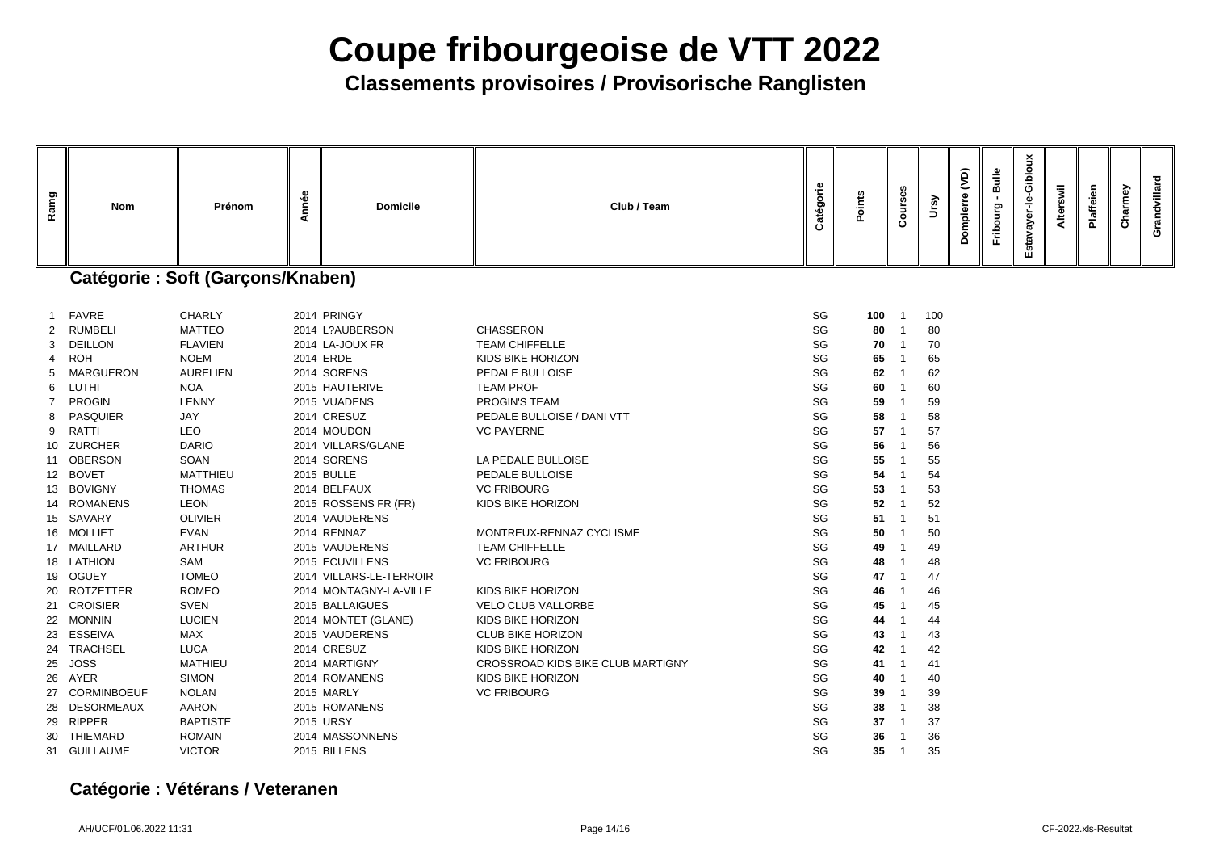## **Classements provisoires / Provisorische Ranglisten**

| Ramg                                                                                      | <b>Nom</b>                                                                                                                                                                                                                                                                                              | Prénom                                                                                                                                                                                                                                                                                                  | Année | <b>Domicile</b>                                                                                                                                                                                                                                                                                                                                  | Club / Team                                                                                                                                                                                                                                                                                                                                                   | Catégorie                                                                                                      | Points                                                                                                          | Courses | Ursy                                                                                                            | $\widetilde{S}$<br>Dompierre | <b>Bulle</b><br>Fribourg | Estavayer-le-Gibloux | Alterswil | Plaffeien | Charmey | Grandvillard |
|-------------------------------------------------------------------------------------------|---------------------------------------------------------------------------------------------------------------------------------------------------------------------------------------------------------------------------------------------------------------------------------------------------------|---------------------------------------------------------------------------------------------------------------------------------------------------------------------------------------------------------------------------------------------------------------------------------------------------------|-------|--------------------------------------------------------------------------------------------------------------------------------------------------------------------------------------------------------------------------------------------------------------------------------------------------------------------------------------------------|---------------------------------------------------------------------------------------------------------------------------------------------------------------------------------------------------------------------------------------------------------------------------------------------------------------------------------------------------------------|----------------------------------------------------------------------------------------------------------------|-----------------------------------------------------------------------------------------------------------------|---------|-----------------------------------------------------------------------------------------------------------------|------------------------------|--------------------------|----------------------|-----------|-----------|---------|--------------|
|                                                                                           |                                                                                                                                                                                                                                                                                                         | <b>Catégorie: Soft (Garçons/Knaben)</b>                                                                                                                                                                                                                                                                 |       |                                                                                                                                                                                                                                                                                                                                                  |                                                                                                                                                                                                                                                                                                                                                               |                                                                                                                |                                                                                                                 |         |                                                                                                                 |                              |                          |                      |           |           |         |              |
| $\overline{\mathbf{1}}$<br>2<br>3<br>4<br>5<br>-7<br>8<br>9<br>10<br>11<br>13<br>14<br>19 | <b>FAVRE</b><br><b>RUMBELI</b><br><b>DEILLON</b><br><b>ROH</b><br><b>MARGUERON</b><br>6 LUTHI<br><b>PROGIN</b><br><b>PASQUIER</b><br>RATTI<br><b>ZURCHER</b><br><b>OBERSON</b><br>12 BOVET<br><b>BOVIGNY</b><br><b>ROMANENS</b><br>15 SAVARY<br>16 MOLLIET<br>17 MAILLARD<br>18 LATHION<br><b>OGUEY</b> | <b>CHARLY</b><br><b>MATTEO</b><br><b>FLAVIEN</b><br><b>NOEM</b><br><b>AURELIEN</b><br><b>NOA</b><br><b>LENNY</b><br><b>JAY</b><br><b>LEO</b><br><b>DARIO</b><br><b>SOAN</b><br><b>MATTHIEU</b><br><b>THOMAS</b><br><b>LEON</b><br><b>OLIVIER</b><br><b>EVAN</b><br><b>ARTHUR</b><br>SAM<br><b>TOMEO</b> |       | 2014 PRINGY<br>2014 L?AUBERSON<br>2014 LA-JOUX FR<br>2014 ERDE<br>2014 SORENS<br>2015 HAUTERIVE<br>2015 VUADENS<br>2014 CRESUZ<br>2014 MOUDON<br>2014 VILLARS/GLANE<br>2014 SORENS<br><b>2015 BULLE</b><br>2014 BELFAUX<br>2015 ROSSENS FR (FR)<br>2014 VAUDERENS<br>2014 RENNAZ<br>2015 VAUDERENS<br>2015 ECUVILLENS<br>2014 VILLARS-LE-TERROIR | <b>CHASSERON</b><br><b>TEAM CHIFFELLE</b><br><b>KIDS BIKE HORIZON</b><br>PEDALE BULLOISE<br><b>TEAM PROF</b><br><b>PROGIN'S TEAM</b><br>PEDALE BULLOISE / DANI VTT<br><b>VC PAYERNE</b><br>LA PEDALE BULLOISE<br>PEDALE BULLOISE<br><b>VC FRIBOURG</b><br><b>KIDS BIKE HORIZON</b><br>MONTREUX-RENNAZ CYCLISME<br><b>TEAM CHIFFELLE</b><br><b>VC FRIBOURG</b> | SG<br>SG<br>SG<br>SG<br>SG<br>SG<br>SG<br>SG<br>SG<br>SG<br>SG<br>SG<br>SG<br>SG<br>SG<br>SG<br>SG<br>SG<br>SG | 100<br>80<br>70<br>65<br>62<br>60<br>59<br>58<br>57<br>56<br>55<br>54<br>53<br>52<br>51<br>50<br>49<br>48<br>47 |         | 100<br>80<br>70<br>65<br>62<br>60<br>59<br>58<br>57<br>56<br>55<br>54<br>53<br>52<br>51<br>50<br>49<br>48<br>47 |                              |                          |                      |           |           |         |              |
| 23<br>26                                                                                  | 20 ROTZETTER<br>21 CROISIER<br>22 MONNIN<br>ESSEIVA<br>24 TRACHSEL<br>25 JOSS<br>AYER<br>27 CORMINBOEUF<br>28 DESORMEAUX<br>29 RIPPER<br>30 THIEMARD<br>31 GUILLAUME                                                                                                                                    | <b>ROMEO</b><br><b>SVEN</b><br><b>LUCIEN</b><br><b>MAX</b><br><b>LUCA</b><br><b>MATHIEU</b><br><b>SIMON</b><br><b>NOLAN</b><br><b>AARON</b><br><b>BAPTISTE</b><br><b>ROMAIN</b><br><b>VICTOR</b>                                                                                                        |       | 2014 MONTAGNY-LA-VILLE<br>2015 BALLAIGUES<br>2014 MONTET (GLANE)<br>2015 VAUDERENS<br>2014 CRESUZ<br>2014 MARTIGNY<br>2014 ROMANENS<br>2015 MARLY<br>2015 ROMANENS<br>2015 URSY<br>2014 MASSONNENS<br>2015 BILLENS                                                                                                                               | KIDS BIKE HORIZON<br><b>VELO CLUB VALLORBE</b><br>KIDS BIKE HORIZON<br><b>CLUB BIKE HORIZON</b><br>KIDS BIKE HORIZON<br><b>CROSSROAD KIDS BIKE CLUB MARTIGNY</b><br>KIDS BIKE HORIZON<br><b>VC FRIBOURG</b>                                                                                                                                                   | SG<br>SG<br>SG<br>SG<br>SG<br>SG<br>SG<br>SG<br>SG<br>SG<br>SG<br>SG                                           | 46<br>45<br>44<br>43<br>42<br>41<br>40<br>39<br>38<br>37<br>36<br>$35\,$                                        |         | 46<br>45<br>44<br>43<br>42<br>41<br>40<br>39<br>38<br>37<br>36<br>35                                            |                              |                          |                      |           |           |         |              |

### **Catégorie : Vétérans / Veteranen**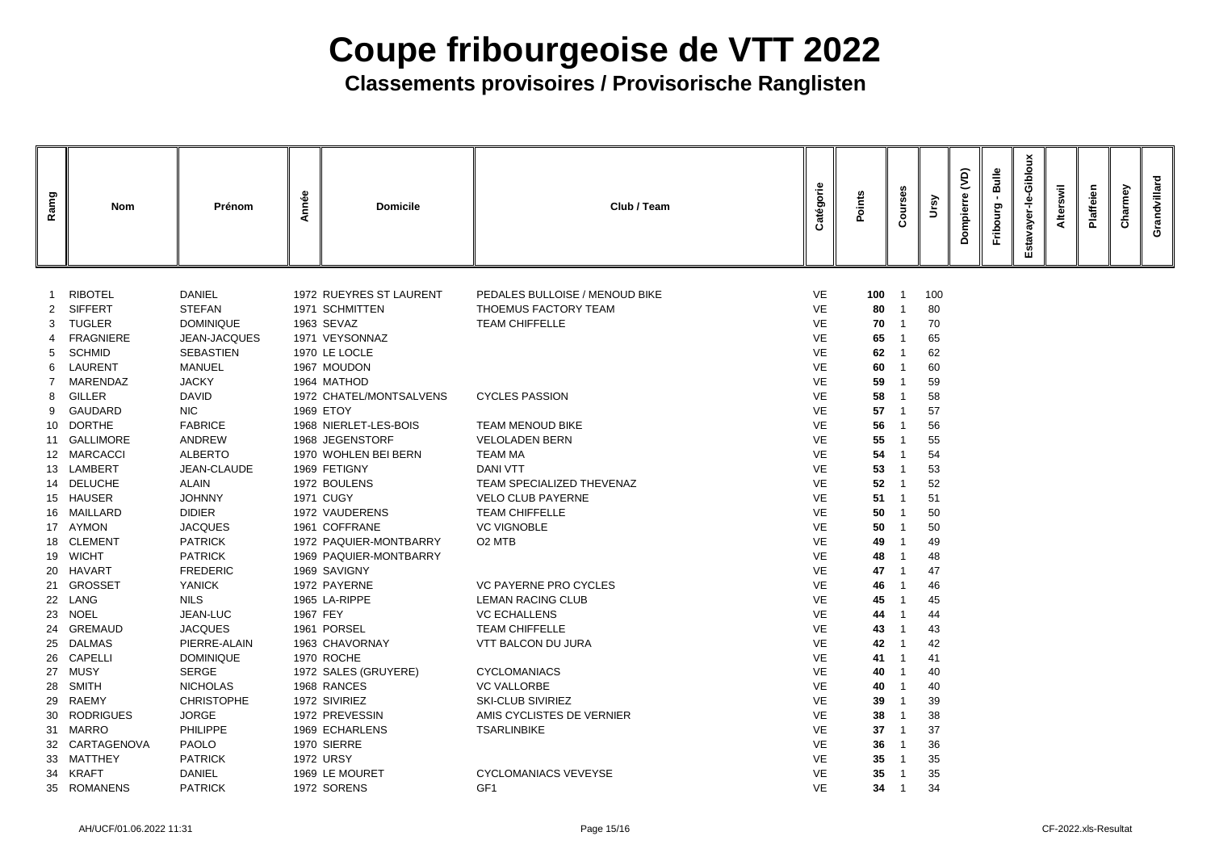| Ramg         | <b>Nom</b>               | Prénom                     | mnée     | <b>Domicile</b>                      | Club / Team                    | Catégorie              | Points   | ses<br>ður<br>Õ | <u>ရွ</u> | (VD)<br>≏ | Bulle<br>Durg<br>Frib | Gibloux<br>ayer-le<br>Estava | swil | Plaffeien | armey | Grandvillard |
|--------------|--------------------------|----------------------------|----------|--------------------------------------|--------------------------------|------------------------|----------|-----------------|-----------|-----------|-----------------------|------------------------------|------|-----------|-------|--------------|
|              |                          |                            |          |                                      |                                |                        |          |                 |           |           |                       |                              |      |           |       |              |
|              | <b>RIBOTEL</b>           | <b>DANIEL</b>              |          | 1972 RUEYRES ST LAURENT              | PEDALES BULLOISE / MENOUD BIKE | VE                     | 100      | - 1             | 100       |           |                       |                              |      |           |       |              |
| $\mathbf{2}$ | <b>SIFFERT</b>           | <b>STEFAN</b>              |          | 1971 SCHMITTEN                       | THOEMUS FACTORY TEAM           | <b>VE</b>              | 80       |                 | 80        |           |                       |                              |      |           |       |              |
| 3            | <b>TUGLER</b>            | <b>DOMINIQUE</b>           |          | 1963 SEVAZ                           | <b>TEAM CHIFFELLE</b>          | <b>VE</b>              | 70       |                 | 70        |           |                       |                              |      |           |       |              |
|              | <b>FRAGNIERE</b>         | JEAN-JACQUES               |          | 1971 VEYSONNAZ                       |                                | <b>VE</b>              | 65       |                 | 65        |           |                       |                              |      |           |       |              |
| 5            | <b>SCHMID</b>            | <b>SEBASTIEN</b>           |          | 1970 LE LOCLE                        |                                | <b>VE</b>              | 62       |                 | 62        |           |                       |                              |      |           |       |              |
| 6            | LAURENT                  | <b>MANUEL</b>              |          | 1967 MOUDON                          |                                | <b>VE</b>              | 60       |                 | 60        |           |                       |                              |      |           |       |              |
|              | MARENDAZ                 | <b>JACKY</b>               |          | 1964 MATHOD                          |                                | <b>VE</b>              | 59       |                 | 59        |           |                       |                              |      |           |       |              |
| 8            | <b>GILLER</b><br>GAUDARD | <b>DAVID</b><br><b>NIC</b> |          | 1972 CHATEL/MONTSALVENS<br>1969 ETOY | <b>CYCLES PASSION</b>          | <b>VE</b><br><b>VE</b> | 58<br>57 |                 | 58        |           |                       |                              |      |           |       |              |
| 9            | 10 DORTHE                | <b>FABRICE</b>             |          | 1968 NIERLET-LES-BOIS                | <b>TEAM MENOUD BIKE</b>        | <b>VE</b>              | 56       |                 | 57<br>56  |           |                       |                              |      |           |       |              |
|              | 11 GALLIMORE             | ANDREW                     |          | 1968 JEGENSTORF                      | <b>VELOLADEN BERN</b>          | <b>VE</b>              | 55       |                 | 55        |           |                       |                              |      |           |       |              |
|              | 12 MARCACCI              | <b>ALBERTO</b>             |          | 1970 WOHLEN BEI BERN                 | <b>TEAM MA</b>                 | <b>VE</b>              | 54       |                 | 54        |           |                       |                              |      |           |       |              |
|              | 13 LAMBERT               | JEAN-CLAUDE                |          | 1969 FETIGNY                         | <b>DANI VTT</b>                | <b>VE</b>              | 53       |                 | 53        |           |                       |                              |      |           |       |              |
|              | 14 DELUCHE               | <b>ALAIN</b>               |          | 1972 BOULENS                         | TEAM SPECIALIZED THEVENAZ      | <b>VE</b>              | 52       |                 | 52        |           |                       |                              |      |           |       |              |
|              | 15 HAUSER                | <b>JOHNNY</b>              |          | <b>1971 CUGY</b>                     | <b>VELO CLUB PAYERNE</b>       | <b>VE</b>              | 51       |                 | 51        |           |                       |                              |      |           |       |              |
|              | 16 MAILLARD              | <b>DIDIER</b>              |          | 1972 VAUDERENS                       | <b>TEAM CHIFFELLE</b>          | <b>VE</b>              | 50       |                 | 50        |           |                       |                              |      |           |       |              |
|              | 17 AYMON                 | <b>JACQUES</b>             |          | 1961 COFFRANE                        | <b>VC VIGNOBLE</b>             | <b>VE</b>              | 50       |                 | 50        |           |                       |                              |      |           |       |              |
|              | 18 CLEMENT               | <b>PATRICK</b>             |          | 1972 PAQUIER-MONTBARRY               | O <sub>2</sub> MTB             | <b>VE</b>              | 49       |                 | 49        |           |                       |                              |      |           |       |              |
|              | 19 WICHT                 | <b>PATRICK</b>             |          | 1969 PAQUIER-MONTBARRY               |                                | <b>VE</b>              | 48       |                 | 48        |           |                       |                              |      |           |       |              |
|              | 20 HAVART                | <b>FREDERIC</b>            |          | 1969 SAVIGNY                         |                                | VE                     |          | 47 1            | 47        |           |                       |                              |      |           |       |              |
|              | 21 GROSSET               | <b>YANICK</b>              |          | 1972 PAYERNE                         | <b>VC PAYERNE PRO CYCLES</b>   | <b>VE</b>              | 46       | -1              | 46        |           |                       |                              |      |           |       |              |
|              | 22 LANG                  | <b>NILS</b>                |          | 1965 LA-RIPPE                        | <b>LEMAN RACING CLUB</b>       | <b>VE</b>              | 45       |                 | 45        |           |                       |                              |      |           |       |              |
|              | 23 NOEL                  | JEAN-LUC                   | 1967 FEY |                                      | <b>VC ECHALLENS</b>            | <b>VE</b>              | 44       |                 | 44        |           |                       |                              |      |           |       |              |
|              | 24 GREMAUD               | <b>JACQUES</b>             |          | 1961 PORSEL                          | <b>TEAM CHIFFELLE</b>          | <b>VE</b>              | 43       |                 | 43        |           |                       |                              |      |           |       |              |
|              | 25 DALMAS                | PIERRE-ALAIN               |          | 1963 CHAVORNAY                       | VTT BALCON DU JURA             | <b>VE</b>              | 42       |                 | 42        |           |                       |                              |      |           |       |              |
|              | 26 CAPELLI               | <b>DOMINIQUE</b>           |          | 1970 ROCHE                           |                                | <b>VE</b>              | 41       |                 | -41       |           |                       |                              |      |           |       |              |
|              | 27 MUSY                  | <b>SERGE</b>               |          | 1972 SALES (GRUYERE)                 | <b>CYCLOMANIACS</b>            | <b>VE</b>              | 40       |                 | 40        |           |                       |                              |      |           |       |              |
| 28           | <b>SMITH</b>             | <b>NICHOLAS</b>            |          | 1968 RANCES                          | <b>VC VALLORBE</b>             | <b>VE</b>              | 40       |                 | 40        |           |                       |                              |      |           |       |              |
| 29           | RAEMY                    | <b>CHRISTOPHE</b>          |          | 1972 SIVIRIEZ                        | <b>SKI-CLUB SIVIRIEZ</b>       | <b>VE</b>              | 39       |                 | 39        |           |                       |                              |      |           |       |              |
| 30           | <b>RODRIGUES</b>         | <b>JORGE</b>               |          | 1972 PREVESSIN                       | AMIS CYCLISTES DE VERNIER      | <b>VE</b>              | 38       |                 | 38        |           |                       |                              |      |           |       |              |
|              | 31 MARRO                 | <b>PHILIPPE</b>            |          | 1969 ECHARLENS                       | <b>TSARLINBIKE</b>             | <b>VE</b>              | 37       |                 | 37        |           |                       |                              |      |           |       |              |
|              | 32 CARTAGENOVA           | <b>PAOLO</b>               |          | 1970 SIERRE                          |                                | <b>VE</b>              | 36       |                 | 36        |           |                       |                              |      |           |       |              |
|              | 33 MATTHEY               | <b>PATRICK</b>             |          | <b>1972 URSY</b>                     |                                | <b>VE</b>              | 35       |                 | 35        |           |                       |                              |      |           |       |              |
| 34           | KRAFT                    | <b>DANIEL</b>              |          | 1969 LE MOURET                       | <b>CYCLOMANIACS VEVEYSE</b>    | <b>VE</b>              | 35       |                 | 35        |           |                       |                              |      |           |       |              |
|              | 35 ROMANENS              | <b>PATRICK</b>             |          | 1972 SORENS                          | GF1                            | <b>VE</b>              | 34       |                 | 34        |           |                       |                              |      |           |       |              |